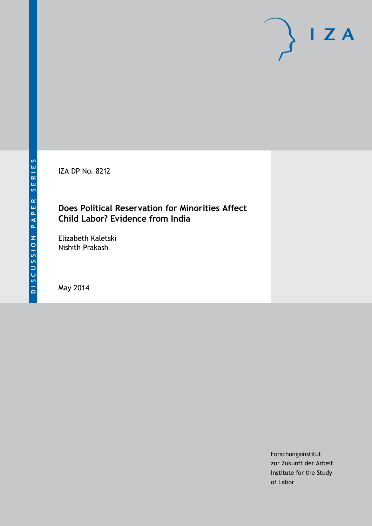IZA DP No. 8212

# **Does Political Reservation for Minorities Affect Child Labor? Evidence from India**

Elizabeth Kaletski Nishith Prakash

May 2014

Forschungsinstitut zur Zukunft der Arbeit Institute for the Study of Labor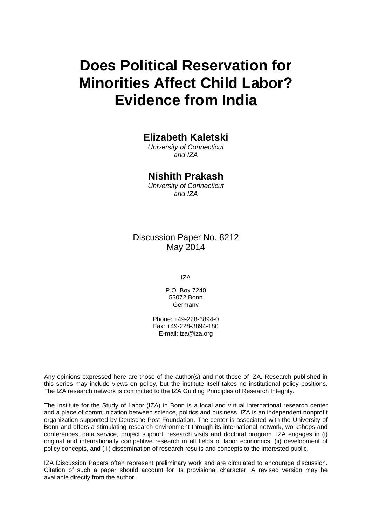# **Does Political Reservation for Minorities Affect Child Labor? Evidence from India**

# **Elizabeth Kaletski**

*University of Connecticut and IZA*

### **Nishith Prakash**

*University of Connecticut and IZA*

### Discussion Paper No. 8212 May 2014

IZA

P.O. Box 7240 53072 Bonn Germany

Phone: +49-228-3894-0 Fax: +49-228-3894-180 E-mail: [iza@iza.org](mailto:iza@iza.org)

Any opinions expressed here are those of the author(s) and not those of IZA. Research published in this series may include views on policy, but the institute itself takes no institutional policy positions. The IZA research network is committed to the IZA Guiding Principles of Research Integrity.

The Institute for the Study of Labor (IZA) in Bonn is a local and virtual international research center and a place of communication between science, politics and business. IZA is an independent nonprofit organization supported by Deutsche Post Foundation. The center is associated with the University of Bonn and offers a stimulating research environment through its international network, workshops and conferences, data service, project support, research visits and doctoral program. IZA engages in (i) original and internationally competitive research in all fields of labor economics, (ii) development of policy concepts, and (iii) dissemination of research results and concepts to the interested public.

<span id="page-1-0"></span>IZA Discussion Papers often represent preliminary work and are circulated to encourage discussion. Citation of such a paper should account for its provisional character. A revised version may be available directly from the author.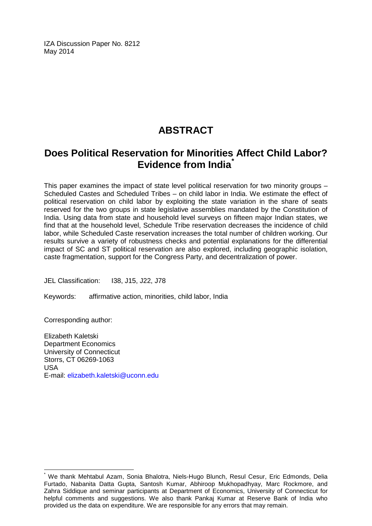IZA Discussion Paper No. 8212 May 2014

# **ABSTRACT**

# **Does Political Reservation for Minorities Affect Child Labor? Evidence from India[\\*](#page-1-0)**

This paper examines the impact of state level political reservation for two minority groups – Scheduled Castes and Scheduled Tribes – on child labor in India. We estimate the effect of political reservation on child labor by exploiting the state variation in the share of seats reserved for the two groups in state legislative assemblies mandated by the Constitution of India. Using data from state and household level surveys on fifteen major Indian states, we find that at the household level, Schedule Tribe reservation decreases the incidence of child labor, while Scheduled Caste reservation increases the total number of children working. Our results survive a variety of robustness checks and potential explanations for the differential impact of SC and ST political reservation are also explored, including geographic isolation, caste fragmentation, support for the Congress Party, and decentralization of power.

JEL Classification: I38, J15, J22, J78

Keywords: affirmative action, minorities, child labor, India

Corresponding author:

Elizabeth Kaletski Department Economics University of Connecticut Storrs, CT 06269-1063 USA E-mail: [elizabeth.kaletski@uconn.edu](mailto:elizabeth.kaletski@uconn.edu)

We thank Mehtabul Azam, Sonia Bhalotra, Niels-Hugo Blunch, Resul Cesur, Eric Edmonds, Delia Furtado, Nabanita Datta Gupta, Santosh Kumar, Abhiroop Mukhopadhyay, Marc Rockmore, and Zahra Siddique and seminar participants at Department of Economics, University of Connecticut for helpful comments and suggestions. We also thank Pankaj Kumar at Reserve Bank of India who provided us the data on expenditure. We are responsible for any errors that may remain.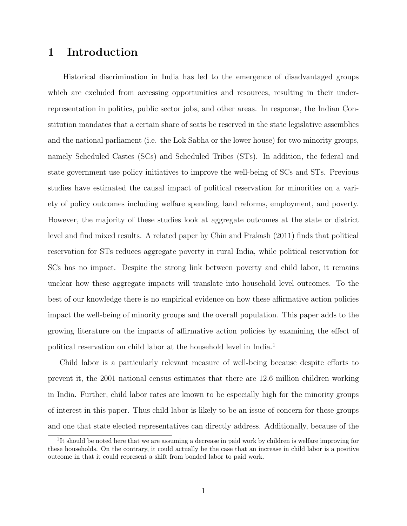# 1 Introduction

Historical discrimination in India has led to the emergence of disadvantaged groups which are excluded from accessing opportunities and resources, resulting in their underrepresentation in politics, public sector jobs, and other areas. In response, the Indian Constitution mandates that a certain share of seats be reserved in the state legislative assemblies and the national parliament (i.e. the Lok Sabha or the lower house) for two minority groups, namely Scheduled Castes (SCs) and Scheduled Tribes (STs). In addition, the federal and state government use policy initiatives to improve the well-being of SCs and STs. Previous studies have estimated the causal impact of political reservation for minorities on a variety of policy outcomes including welfare spending, land reforms, employment, and poverty. However, the majority of these studies look at aggregate outcomes at the state or district level and find mixed results. A related paper by Chin and Prakash (2011) finds that political reservation for STs reduces aggregate poverty in rural India, while political reservation for SCs has no impact. Despite the strong link between poverty and child labor, it remains unclear how these aggregate impacts will translate into household level outcomes. To the best of our knowledge there is no empirical evidence on how these affirmative action policies impact the well-being of minority groups and the overall population. This paper adds to the growing literature on the impacts of affirmative action policies by examining the effect of political reservation on child labor at the household level in India.<sup>1</sup>

Child labor is a particularly relevant measure of well-being because despite efforts to prevent it, the 2001 national census estimates that there are 12.6 million children working in India. Further, child labor rates are known to be especially high for the minority groups of interest in this paper. Thus child labor is likely to be an issue of concern for these groups and one that state elected representatives can directly address. Additionally, because of the

<sup>&</sup>lt;sup>1</sup>It should be noted here that we are assuming a decrease in paid work by children is welfare improving for these households. On the contrary, it could actually be the case that an increase in child labor is a positive outcome in that it could represent a shift from bonded labor to paid work.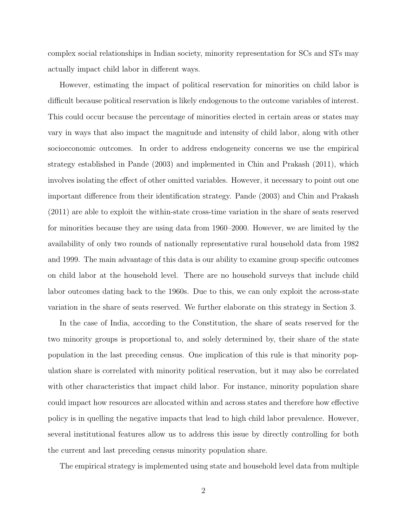complex social relationships in Indian society, minority representation for SCs and STs may actually impact child labor in different ways.

However, estimating the impact of political reservation for minorities on child labor is difficult because political reservation is likely endogenous to the outcome variables of interest. This could occur because the percentage of minorities elected in certain areas or states may vary in ways that also impact the magnitude and intensity of child labor, along with other socioeconomic outcomes. In order to address endogeneity concerns we use the empirical strategy established in Pande (2003) and implemented in Chin and Prakash (2011), which involves isolating the effect of other omitted variables. However, it necessary to point out one important difference from their identification strategy. Pande (2003) and Chin and Prakash (2011) are able to exploit the within-state cross-time variation in the share of seats reserved for minorities because they are using data from 1960–2000. However, we are limited by the availability of only two rounds of nationally representative rural household data from 1982 and 1999. The main advantage of this data is our ability to examine group specific outcomes on child labor at the household level. There are no household surveys that include child labor outcomes dating back to the 1960s. Due to this, we can only exploit the across-state variation in the share of seats reserved. We further elaborate on this strategy in Section 3.

In the case of India, according to the Constitution, the share of seats reserved for the two minority groups is proportional to, and solely determined by, their share of the state population in the last preceding census. One implication of this rule is that minority population share is correlated with minority political reservation, but it may also be correlated with other characteristics that impact child labor. For instance, minority population share could impact how resources are allocated within and across states and therefore how effective policy is in quelling the negative impacts that lead to high child labor prevalence. However, several institutional features allow us to address this issue by directly controlling for both the current and last preceding census minority population share.

The empirical strategy is implemented using state and household level data from multiple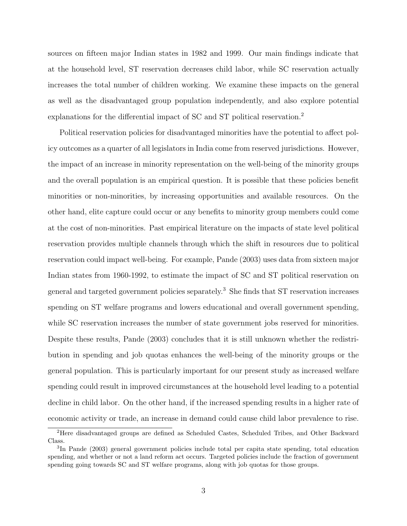sources on fifteen major Indian states in 1982 and 1999. Our main findings indicate that at the household level, ST reservation decreases child labor, while SC reservation actually increases the total number of children working. We examine these impacts on the general as well as the disadvantaged group population independently, and also explore potential explanations for the differential impact of SC and ST political reservation.<sup>2</sup>

Political reservation policies for disadvantaged minorities have the potential to affect policy outcomes as a quarter of all legislators in India come from reserved jurisdictions. However, the impact of an increase in minority representation on the well-being of the minority groups and the overall population is an empirical question. It is possible that these policies benefit minorities or non-minorities, by increasing opportunities and available resources. On the other hand, elite capture could occur or any benefits to minority group members could come at the cost of non-minorities. Past empirical literature on the impacts of state level political reservation provides multiple channels through which the shift in resources due to political reservation could impact well-being. For example, Pande (2003) uses data from sixteen major Indian states from 1960-1992, to estimate the impact of SC and ST political reservation on general and targeted government policies separately.<sup>3</sup> She finds that ST reservation increases spending on ST welfare programs and lowers educational and overall government spending, while SC reservation increases the number of state government jobs reserved for minorities. Despite these results, Pande (2003) concludes that it is still unknown whether the redistribution in spending and job quotas enhances the well-being of the minority groups or the general population. This is particularly important for our present study as increased welfare spending could result in improved circumstances at the household level leading to a potential decline in child labor. On the other hand, if the increased spending results in a higher rate of economic activity or trade, an increase in demand could cause child labor prevalence to rise.

<sup>2</sup>Here disadvantaged groups are defined as Scheduled Castes, Scheduled Tribes, and Other Backward Class.

<sup>3</sup> In Pande (2003) general government policies include total per capita state spending, total education spending, and whether or not a land reform act occurs. Targeted policies include the fraction of government spending going towards SC and ST welfare programs, along with job quotas for those groups.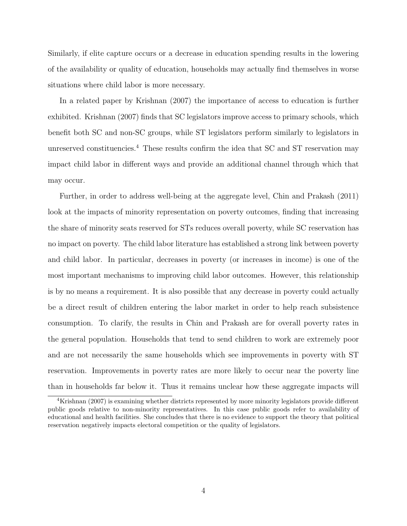Similarly, if elite capture occurs or a decrease in education spending results in the lowering of the availability or quality of education, households may actually find themselves in worse situations where child labor is more necessary.

In a related paper by Krishnan (2007) the importance of access to education is further exhibited. Krishnan (2007) finds that SC legislators improve access to primary schools, which benefit both SC and non-SC groups, while ST legislators perform similarly to legislators in unreserved constituencies.<sup>4</sup> These results confirm the idea that SC and ST reservation may impact child labor in different ways and provide an additional channel through which that may occur.

Further, in order to address well-being at the aggregate level, Chin and Prakash (2011) look at the impacts of minority representation on poverty outcomes, finding that increasing the share of minority seats reserved for STs reduces overall poverty, while SC reservation has no impact on poverty. The child labor literature has established a strong link between poverty and child labor. In particular, decreases in poverty (or increases in income) is one of the most important mechanisms to improving child labor outcomes. However, this relationship is by no means a requirement. It is also possible that any decrease in poverty could actually be a direct result of children entering the labor market in order to help reach subsistence consumption. To clarify, the results in Chin and Prakash are for overall poverty rates in the general population. Households that tend to send children to work are extremely poor and are not necessarily the same households which see improvements in poverty with ST reservation. Improvements in poverty rates are more likely to occur near the poverty line than in households far below it. Thus it remains unclear how these aggregate impacts will

<sup>4</sup>Krishnan (2007) is examining whether districts represented by more minority legislators provide different public goods relative to non-minority representatives. In this case public goods refer to availability of educational and health facilities. She concludes that there is no evidence to support the theory that political reservation negatively impacts electoral competition or the quality of legislators.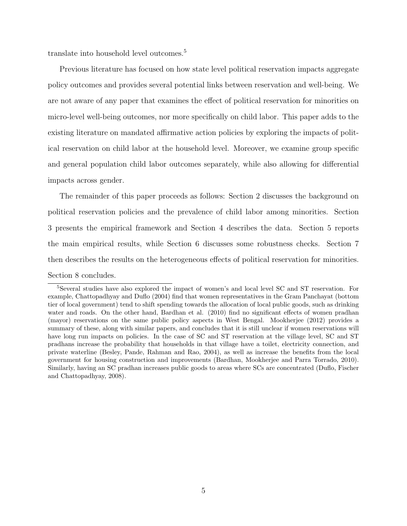translate into household level outcomes.<sup>5</sup>

Previous literature has focused on how state level political reservation impacts aggregate policy outcomes and provides several potential links between reservation and well-being. We are not aware of any paper that examines the effect of political reservation for minorities on micro-level well-being outcomes, nor more specifically on child labor. This paper adds to the existing literature on mandated affirmative action policies by exploring the impacts of political reservation on child labor at the household level. Moreover, we examine group specific and general population child labor outcomes separately, while also allowing for differential impacts across gender.

The remainder of this paper proceeds as follows: Section 2 discusses the background on political reservation policies and the prevalence of child labor among minorities. Section 3 presents the empirical framework and Section 4 describes the data. Section 5 reports the main empirical results, while Section 6 discusses some robustness checks. Section 7 then describes the results on the heterogeneous effects of political reservation for minorities. Section 8 concludes.

<sup>5</sup>Several studies have also explored the impact of women's and local level SC and ST reservation. For example, Chattopadhyay and Duflo (2004) find that women representatives in the Gram Panchayat (bottom tier of local government) tend to shift spending towards the allocation of local public goods, such as drinking water and roads. On the other hand, Bardhan et al. (2010) find no significant effects of women pradhan (mayor) reservations on the same public policy aspects in West Bengal. Mookherjee (2012) provides a summary of these, along with similar papers, and concludes that it is still unclear if women reservations will have long run impacts on policies. In the case of SC and ST reservation at the village level, SC and ST pradhans increase the probability that households in that village have a toilet, electricity connection, and private waterline (Besley, Pande, Rahman and Rao, 2004), as well as increase the benefits from the local government for housing construction and improvements (Bardhan, Mookherjee and Parra Torrado, 2010). Similarly, having an SC pradhan increases public goods to areas where SCs are concentrated (Duflo, Fischer and Chattopadhyay, 2008).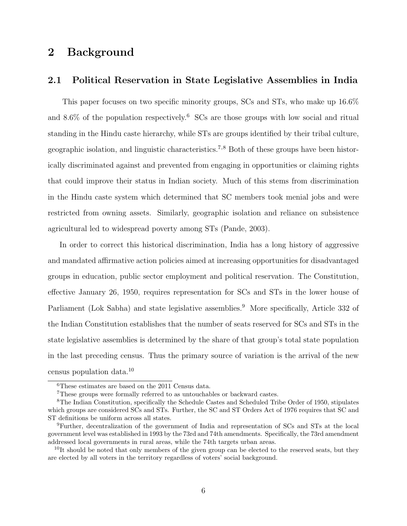# 2 Background

#### 2.1 Political Reservation in State Legislative Assemblies in India

This paper focuses on two specific minority groups, SCs and STs, who make up 16.6% and  $8.6\%$  of the population respectively.<sup>6</sup> SCs are those groups with low social and ritual standing in the Hindu caste hierarchy, while STs are groups identified by their tribal culture, geographic isolation, and linguistic characteristics.<sup>7</sup>,<sup>8</sup> Both of these groups have been historically discriminated against and prevented from engaging in opportunities or claiming rights that could improve their status in Indian society. Much of this stems from discrimination in the Hindu caste system which determined that SC members took menial jobs and were restricted from owning assets. Similarly, geographic isolation and reliance on subsistence agricultural led to widespread poverty among STs (Pande, 2003).

In order to correct this historical discrimination, India has a long history of aggressive and mandated affirmative action policies aimed at increasing opportunities for disadvantaged groups in education, public sector employment and political reservation. The Constitution, effective January 26, 1950, requires representation for SCs and STs in the lower house of Parliament (Lok Sabha) and state legislative assemblies.<sup>9</sup> More specifically, Article 332 of the Indian Constitution establishes that the number of seats reserved for SCs and STs in the state legislative assemblies is determined by the share of that group's total state population in the last preceding census. Thus the primary source of variation is the arrival of the new census population data.<sup>10</sup>

<sup>6</sup>These estimates are based on the 2011 Census data.

<sup>7</sup>These groups were formally referred to as untouchables or backward castes.

<sup>8</sup>The Indian Constitution, specifically the Schedule Castes and Scheduled Tribe Order of 1950, stipulates which groups are considered SCs and STs. Further, the SC and ST Orders Act of 1976 requires that SC and ST definitions be uniform across all states.

<sup>9</sup>Further, decentralization of the government of India and representation of SCs and STs at the local government level was established in 1993 by the 73rd and 74th amendments. Specifically, the 73rd amendment addressed local governments in rural areas, while the 74th targets urban areas.

 $10$ It should be noted that only members of the given group can be elected to the reserved seats, but they are elected by all voters in the territory regardless of voters' social background.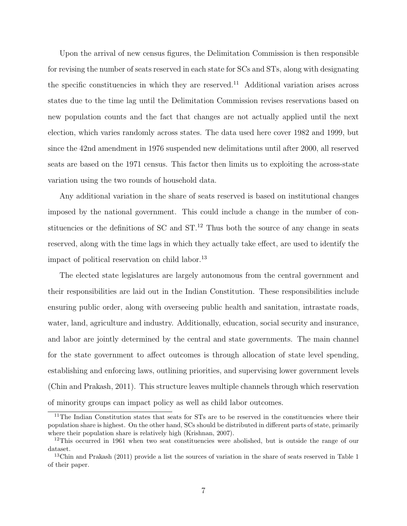Upon the arrival of new census figures, the Delimitation Commission is then responsible for revising the number of seats reserved in each state for SCs and STs, along with designating the specific constituencies in which they are reserved.<sup>11</sup> Additional variation arises across states due to the time lag until the Delimitation Commission revises reservations based on new population counts and the fact that changes are not actually applied until the next election, which varies randomly across states. The data used here cover 1982 and 1999, but since the 42nd amendment in 1976 suspended new delimitations until after 2000, all reserved seats are based on the 1971 census. This factor then limits us to exploiting the across-state variation using the two rounds of household data.

Any additional variation in the share of seats reserved is based on institutional changes imposed by the national government. This could include a change in the number of constituencies or the definitions of  $SC$  and  $ST<sup>12</sup>$ . Thus both the source of any change in seats reserved, along with the time lags in which they actually take effect, are used to identify the impact of political reservation on child labor.<sup>13</sup>

The elected state legislatures are largely autonomous from the central government and their responsibilities are laid out in the Indian Constitution. These responsibilities include ensuring public order, along with overseeing public health and sanitation, intrastate roads, water, land, agriculture and industry. Additionally, education, social security and insurance, and labor are jointly determined by the central and state governments. The main channel for the state government to affect outcomes is through allocation of state level spending, establishing and enforcing laws, outlining priorities, and supervising lower government levels (Chin and Prakash, 2011). This structure leaves multiple channels through which reservation of minority groups can impact policy as well as child labor outcomes.

<sup>&</sup>lt;sup>11</sup>The Indian Constitution states that seats for STs are to be reserved in the constituencies where their population share is highest. On the other hand, SCs should be distributed in different parts of state, primarily where their population share is relatively high (Krishnan, 2007).

<sup>&</sup>lt;sup>12</sup>This occurred in 1961 when two seat constituencies were abolished, but is outside the range of our dataset.

 $13$ Chin and Prakash (2011) provide a list the sources of variation in the share of seats reserved in Table 1 of their paper.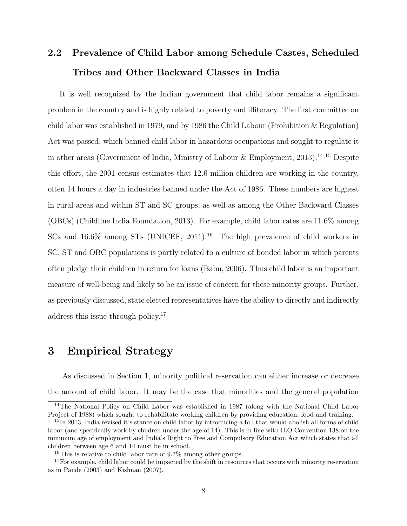# 2.2 Prevalence of Child Labor among Schedule Castes, Scheduled Tribes and Other Backward Classes in India

It is well recognized by the Indian government that child labor remains a significant problem in the country and is highly related to poverty and illiteracy. The first committee on child labor was established in 1979, and by 1986 the Child Labour (Prohibition & Regulation) Act was passed, which banned child labor in hazardous occupations and sought to regulate it in other areas (Government of India, Ministry of Labour & Employment, 2013).<sup>14,15</sup> Despite this effort, the 2001 census estimates that 12.6 million children are working in the country, often 14 hours a day in industries banned under the Act of 1986. These numbers are highest in rural areas and within ST and SC groups, as well as among the Other Backward Classes (OBCs) (Childline India Foundation, 2013). For example, child labor rates are 11.6% among SCs and  $16.6\%$  among STs (UNICEF, 2011).<sup>16</sup> The high prevalence of child workers in SC, ST and OBC populations is partly related to a culture of bonded labor in which parents often pledge their children in return for loans (Babu, 2006). Thus child labor is an important measure of well-being and likely to be an issue of concern for these minority groups. Further, as previously discussed, state elected representatives have the ability to directly and indirectly address this issue through policy.<sup>17</sup>

# 3 Empirical Strategy

As discussed in Section 1, minority political reservation can either increase or decrease the amount of child labor. It may be the case that minorities and the general population

<sup>&</sup>lt;sup>14</sup>The National Policy on Child Labor was established in 1987 (along with the National Child Labor Project of 1988) which sought to rehabilitate working children by providing education, food and training.

<sup>&</sup>lt;sup>15</sup>In 2013, India revised it's stance on child labor by introducing a bill that would abolish all forms of child labor (and specifically work by children under the age of 14). This is in line with ILO Convention 138 on the minimum age of employment and India's Right to Free and Compulsory Education Act which states that all children between age 6 and 14 must be in school.

<sup>&</sup>lt;sup>16</sup>This is relative to child labor rate of 9.7% among other groups.

<sup>&</sup>lt;sup>17</sup>For example, child labor could be impacted by the shift in resources that occurs with minority reservation as in Pande (2003) and Kishnan (2007).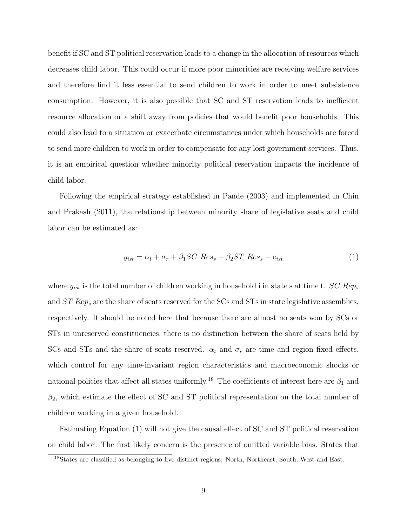benefit if SC and ST political reservation leads to a change in the allocation of resources which decreases child labor. This could occur if more poor minorities are receiving welfare services and therefore find it less essential to send children to work in order to meet subsistence consumption. However, it is also possible that SC and ST reservation leads to inefficient resource allocation or a shift away from policies that would benefit poor households. This could also lead to a situation or exacerbate circumstances under which households are forced to send more children to work in order to compensate for any lost government services. Thus, it is an empirical question whether minority political reservation impacts the incidence of child labor.

Following the empirical strategy established in Pande (2003) and implemented in Chin and Prakash (2011), the relationship between minority share of legislative seats and child labor can be estimated as:

$$
y_{ist} = \alpha_t + \sigma_r + \beta_1 SC Res_s + \beta_2 ST Res_s + e_{ist}
$$
 (1)

where  $y_{ist}$  is the total number of children working in household i in state s at time t. SC Reps and  $ST$  Rep<sub>s</sub> are the share of seats reserved for the SCs and STs in state legislative assemblies, respectively. It should be noted here that because there are almost no seats won by SCs or STs in unreserved constituencies, there is no distinction between the share of seats held by SCs and STs and the share of seats reserved.  $\alpha_t$  and  $\sigma_r$  are time and region fixed effects, which control for any time-invariant region characteristics and macroeconomic shocks or national policies that affect all states uniformly.<sup>18</sup> The coefficients of interest here are  $\beta_1$  and  $\beta_2$ , which estimate the effect of SC and ST political representation on the total number of children working in a given household.

Estimating Equation (1) will not give the causal effect of SC and ST political reservation on child labor. The first likely concern is the presence of omitted variable bias. States that

<sup>&</sup>lt;sup>18</sup>States are classified as belonging to five distinct regions: North, Northeast, South, West and East.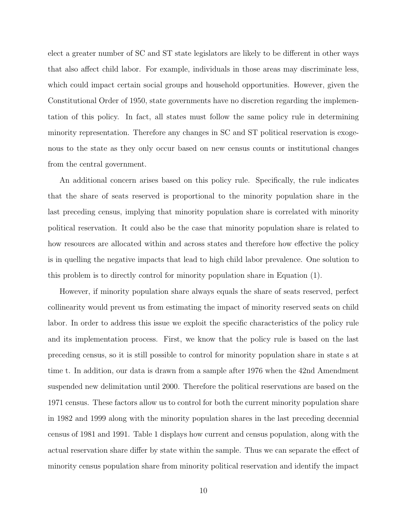elect a greater number of SC and ST state legislators are likely to be different in other ways that also affect child labor. For example, individuals in those areas may discriminate less, which could impact certain social groups and household opportunities. However, given the Constitutional Order of 1950, state governments have no discretion regarding the implementation of this policy. In fact, all states must follow the same policy rule in determining minority representation. Therefore any changes in SC and ST political reservation is exogenous to the state as they only occur based on new census counts or institutional changes from the central government.

An additional concern arises based on this policy rule. Specifically, the rule indicates that the share of seats reserved is proportional to the minority population share in the last preceding census, implying that minority population share is correlated with minority political reservation. It could also be the case that minority population share is related to how resources are allocated within and across states and therefore how effective the policy is in quelling the negative impacts that lead to high child labor prevalence. One solution to this problem is to directly control for minority population share in Equation (1).

However, if minority population share always equals the share of seats reserved, perfect collinearity would prevent us from estimating the impact of minority reserved seats on child labor. In order to address this issue we exploit the specific characteristics of the policy rule and its implementation process. First, we know that the policy rule is based on the last preceding census, so it is still possible to control for minority population share in state s at time t. In addition, our data is drawn from a sample after 1976 when the 42nd Amendment suspended new delimitation until 2000. Therefore the political reservations are based on the 1971 census. These factors allow us to control for both the current minority population share in 1982 and 1999 along with the minority population shares in the last preceding decennial census of 1981 and 1991. Table 1 displays how current and census population, along with the actual reservation share differ by state within the sample. Thus we can separate the effect of minority census population share from minority political reservation and identify the impact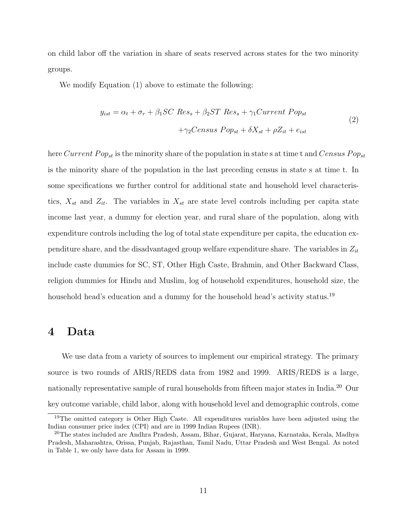on child labor off the variation in share of seats reserved across states for the two minority groups.

We modify Equation (1) above to estimate the following:

$$
y_{ist} = \alpha_t + \sigma_r + \beta_1 SC Res_s + \beta_2 ST Res_s + \gamma_1 Current Pop_{st}
$$
  
+
$$
\gamma_2 Census Pop_{st} + \delta X_{st} + \rho Z_{it} + e_{ist}
$$
 (2)

here Current Pop<sub>st</sub> is the minority share of the population in state s at time t and Census Pop<sub>st</sub> is the minority share of the population in the last preceding census in state s at time t. In some specifications we further control for additional state and household level characteristics,  $X_{st}$  and  $Z_{it}$ . The variables in  $X_{st}$  are state level controls including per capita state income last year, a dummy for election year, and rural share of the population, along with expenditure controls including the log of total state expenditure per capita, the education expenditure share, and the disadvantaged group welfare expenditure share. The variables in  $Z_{it}$ include caste dummies for SC, ST, Other High Caste, Brahmin, and Other Backward Class, religion dummies for Hindu and Muslim, log of household expenditures, household size, the household head's education and a dummy for the household head's activity status.<sup>19</sup>

### 4 Data

We use data from a variety of sources to implement our empirical strategy. The primary source is two rounds of ARIS/REDS data from 1982 and 1999. ARIS/REDS is a large, nationally representative sample of rural households from fifteen major states in India.<sup>20</sup> Our key outcome variable, child labor, along with household level and demographic controls, come

<sup>&</sup>lt;sup>19</sup>The omitted category is Other High Caste. All expenditures variables have been adjusted using the Indian consumer price index (CPI) and are in 1999 Indian Rupees (INR).

<sup>20</sup>The states included are Andhra Pradesh, Assam, Bihar, Gujarat, Haryana, Karnataka, Kerala, Madhya Pradesh, Maharashtra, Orissa, Punjab, Rajasthan, Tamil Nadu, Uttar Pradesh and West Bengal. As noted in Table 1, we only have data for Assam in 1999.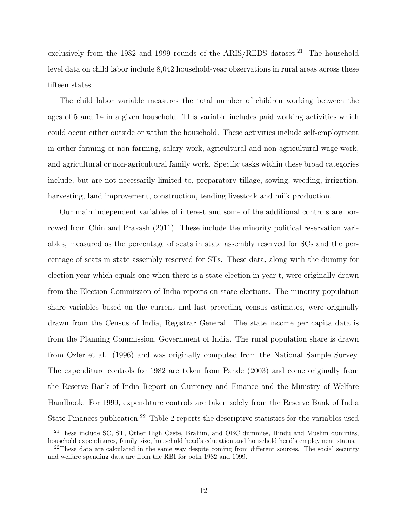exclusively from the 1982 and 1999 rounds of the ARIS/REDS dataset.<sup>21</sup> The household level data on child labor include 8,042 household-year observations in rural areas across these fifteen states.

The child labor variable measures the total number of children working between the ages of 5 and 14 in a given household. This variable includes paid working activities which could occur either outside or within the household. These activities include self-employment in either farming or non-farming, salary work, agricultural and non-agricultural wage work, and agricultural or non-agricultural family work. Specific tasks within these broad categories include, but are not necessarily limited to, preparatory tillage, sowing, weeding, irrigation, harvesting, land improvement, construction, tending livestock and milk production.

Our main independent variables of interest and some of the additional controls are borrowed from Chin and Prakash (2011). These include the minority political reservation variables, measured as the percentage of seats in state assembly reserved for SCs and the percentage of seats in state assembly reserved for STs. These data, along with the dummy for election year which equals one when there is a state election in year t, were originally drawn from the Election Commission of India reports on state elections. The minority population share variables based on the current and last preceding census estimates, were originally drawn from the Census of India, Registrar General. The state income per capita data is from the Planning Commission, Government of India. The rural population share is drawn from Ozler et al. (1996) and was originally computed from the National Sample Survey. The expenditure controls for 1982 are taken from Pande (2003) and come originally from the Reserve Bank of India Report on Currency and Finance and the Ministry of Welfare Handbook. For 1999, expenditure controls are taken solely from the Reserve Bank of India State Finances publication.<sup>22</sup> Table 2 reports the descriptive statistics for the variables used

<sup>21</sup>These include SC, ST, Other High Caste, Brahim, and OBC dummies, Hindu and Muslim dummies, household expenditures, family size, household head's education and household head's employment status.

<sup>&</sup>lt;sup>22</sup>These data are calculated in the same way despite coming from different sources. The social security and welfare spending data are from the RBI for both 1982 and 1999.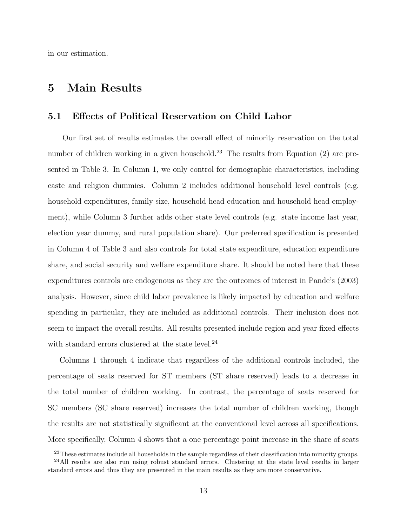in our estimation.

# 5 Main Results

#### 5.1 Effects of Political Reservation on Child Labor

Our first set of results estimates the overall effect of minority reservation on the total number of children working in a given household.<sup>23</sup> The results from Equation  $(2)$  are presented in Table 3. In Column 1, we only control for demographic characteristics, including caste and religion dummies. Column 2 includes additional household level controls (e.g. household expenditures, family size, household head education and household head employment), while Column 3 further adds other state level controls (e.g. state income last year, election year dummy, and rural population share). Our preferred specification is presented in Column 4 of Table 3 and also controls for total state expenditure, education expenditure share, and social security and welfare expenditure share. It should be noted here that these expenditures controls are endogenous as they are the outcomes of interest in Pande's (2003) analysis. However, since child labor prevalence is likely impacted by education and welfare spending in particular, they are included as additional controls. Their inclusion does not seem to impact the overall results. All results presented include region and year fixed effects with standard errors clustered at the state level.<sup>24</sup>

Columns 1 through 4 indicate that regardless of the additional controls included, the percentage of seats reserved for ST members (ST share reserved) leads to a decrease in the total number of children working. In contrast, the percentage of seats reserved for SC members (SC share reserved) increases the total number of children working, though the results are not statistically significant at the conventional level across all specifications. More specifically, Column 4 shows that a one percentage point increase in the share of seats

<sup>&</sup>lt;sup>23</sup>These estimates include all households in the sample regardless of their classification into minority groups.

<sup>24</sup>All results are also run using robust standard errors. Clustering at the state level results in larger standard errors and thus they are presented in the main results as they are more conservative.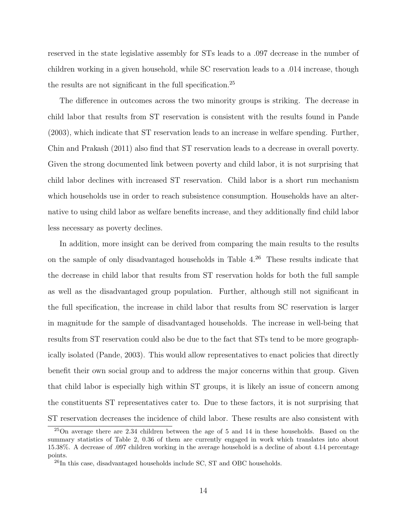reserved in the state legislative assembly for STs leads to a .097 decrease in the number of children working in a given household, while SC reservation leads to a .014 increase, though the results are not significant in the full specification.<sup>25</sup>

The difference in outcomes across the two minority groups is striking. The decrease in child labor that results from ST reservation is consistent with the results found in Pande (2003), which indicate that ST reservation leads to an increase in welfare spending. Further, Chin and Prakash (2011) also find that ST reservation leads to a decrease in overall poverty. Given the strong documented link between poverty and child labor, it is not surprising that child labor declines with increased ST reservation. Child labor is a short run mechanism which households use in order to reach subsistence consumption. Households have an alternative to using child labor as welfare benefits increase, and they additionally find child labor less necessary as poverty declines.

In addition, more insight can be derived from comparing the main results to the results on the sample of only disadvantaged households in Table  $4^{26}$  These results indicate that the decrease in child labor that results from ST reservation holds for both the full sample as well as the disadvantaged group population. Further, although still not significant in the full specification, the increase in child labor that results from SC reservation is larger in magnitude for the sample of disadvantaged households. The increase in well-being that results from ST reservation could also be due to the fact that STs tend to be more geographically isolated (Pande, 2003). This would allow representatives to enact policies that directly benefit their own social group and to address the major concerns within that group. Given that child labor is especially high within ST groups, it is likely an issue of concern among the constituents ST representatives cater to. Due to these factors, it is not surprising that ST reservation decreases the incidence of child labor. These results are also consistent with

<sup>25</sup>On average there are 2.34 children between the age of 5 and 14 in these households. Based on the summary statistics of Table 2, 0.36 of them are currently engaged in work which translates into about 15.38%. A decrease of .097 children working in the average household is a decline of about 4.14 percentage points.

 $^{26}$ In this case, disadvantaged households include SC, ST and OBC households.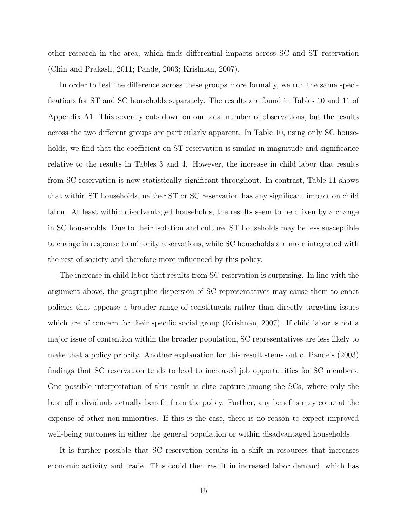other research in the area, which finds differential impacts across SC and ST reservation (Chin and Prakash, 2011; Pande, 2003; Krishnan, 2007).

In order to test the difference across these groups more formally, we run the same specifications for ST and SC households separately. The results are found in Tables 10 and 11 of Appendix A1. This severely cuts down on our total number of observations, but the results across the two different groups are particularly apparent. In Table 10, using only SC households, we find that the coefficient on ST reservation is similar in magnitude and significance relative to the results in Tables 3 and 4. However, the increase in child labor that results from SC reservation is now statistically significant throughout. In contrast, Table 11 shows that within ST households, neither ST or SC reservation has any significant impact on child labor. At least within disadvantaged households, the results seem to be driven by a change in SC households. Due to their isolation and culture, ST households may be less susceptible to change in response to minority reservations, while SC households are more integrated with the rest of society and therefore more influenced by this policy.

The increase in child labor that results from SC reservation is surprising. In line with the argument above, the geographic dispersion of SC representatives may cause them to enact policies that appease a broader range of constituents rather than directly targeting issues which are of concern for their specific social group (Krishnan, 2007). If child labor is not a major issue of contention within the broader population, SC representatives are less likely to make that a policy priority. Another explanation for this result stems out of Pande's (2003) findings that SC reservation tends to lead to increased job opportunities for SC members. One possible interpretation of this result is elite capture among the SCs, where only the best off individuals actually benefit from the policy. Further, any benefits may come at the expense of other non-minorities. If this is the case, there is no reason to expect improved well-being outcomes in either the general population or within disadvantaged households.

It is further possible that SC reservation results in a shift in resources that increases economic activity and trade. This could then result in increased labor demand, which has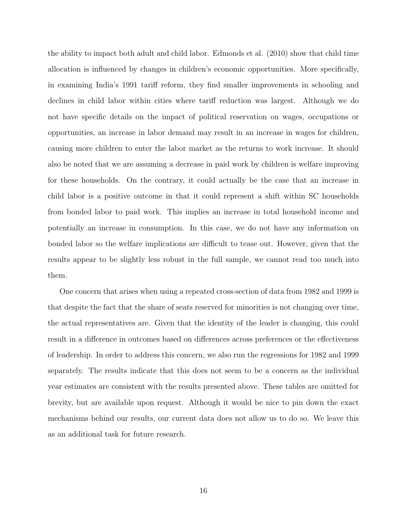the ability to impact both adult and child labor. Edmonds et al. (2010) show that child time allocation is influenced by changes in children's economic opportunities. More specifically, in examining India's 1991 tariff reform, they find smaller improvements in schooling and declines in child labor within cities where tariff reduction was largest. Although we do not have specific details on the impact of political reservation on wages, occupations or opportunities, an increase in labor demand may result in an increase in wages for children, causing more children to enter the labor market as the returns to work increase. It should also be noted that we are assuming a decrease in paid work by children is welfare improving for these households. On the contrary, it could actually be the case that an increase in child labor is a positive outcome in that it could represent a shift within SC households from bonded labor to paid work. This implies an increase in total household income and potentially an increase in consumption. In this case, we do not have any information on bonded labor so the welfare implications are difficult to tease out. However, given that the results appear to be slightly less robust in the full sample, we cannot read too much into them.

One concern that arises when using a repeated cross-section of data from 1982 and 1999 is that despite the fact that the share of seats reserved for minorities is not changing over time, the actual representatives are. Given that the identity of the leader is changing, this could result in a difference in outcomes based on differences across preferences or the effectiveness of leadership. In order to address this concern, we also run the regressions for 1982 and 1999 separately. The results indicate that this does not seem to be a concern as the individual year estimates are consistent with the results presented above. These tables are omitted for brevity, but are available upon request. Although it would be nice to pin down the exact mechanisms behind our results, our current data does not allow us to do so. We leave this as an additional task for future research.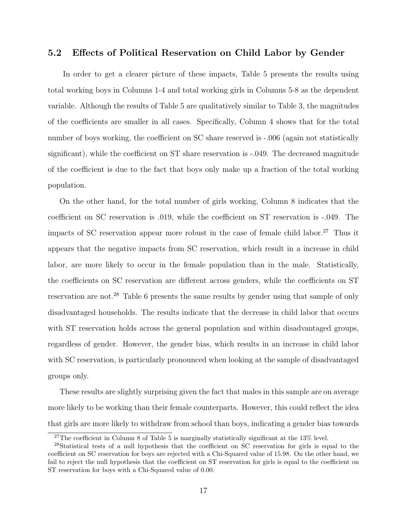#### 5.2 Effects of Political Reservation on Child Labor by Gender

In order to get a clearer picture of these impacts, Table 5 presents the results using total working boys in Columns 1-4 and total working girls in Columns 5-8 as the dependent variable. Although the results of Table 5 are qualitatively similar to Table 3, the magnitudes of the coefficients are smaller in all cases. Specifically, Column 4 shows that for the total number of boys working, the coefficient on SC share reserved is -.006 (again not statistically significant), while the coefficient on ST share reservation is -.049. The decreased magnitude of the coefficient is due to the fact that boys only make up a fraction of the total working population.

On the other hand, for the total number of girls working, Column 8 indicates that the coefficient on SC reservation is .019, while the coefficient on ST reservation is -.049. The impacts of SC reservation appear more robust in the case of female child labor.<sup>27</sup> Thus it appears that the negative impacts from SC reservation, which result in a increase in child labor, are more likely to occur in the female population than in the male. Statistically, the coefficients on SC reservation are different across genders, while the coefficients on ST reservation are not.<sup>28</sup> Table 6 presents the same results by gender using that sample of only disadvantaged households. The results indicate that the decrease in child labor that occurs with ST reservation holds across the general population and within disadvantaged groups, regardless of gender. However, the gender bias, which results in an increase in child labor with SC reservation, is particularly pronounced when looking at the sample of disadvantaged groups only.

These results are slightly surprising given the fact that males in this sample are on average more likely to be working than their female counterparts. However, this could reflect the idea that girls are more likely to withdraw from school than boys, indicating a gender bias towards

<sup>&</sup>lt;sup>27</sup>The coefficient in Column 8 of Table 5 is marginally statistically significant at the  $13\%$  level.

<sup>28</sup>Statistical tests of a null hypothesis that the coefficient on SC reservation for girls is equal to the coefficient on SC reservation for boys are rejected with a Chi-Squared value of 15.98. On the other hand, we fail to reject the null hypothesis that the coefficient on ST reservation for girls is equal to the coefficient on ST reservation for boys with a Chi-Squared value of 0.00.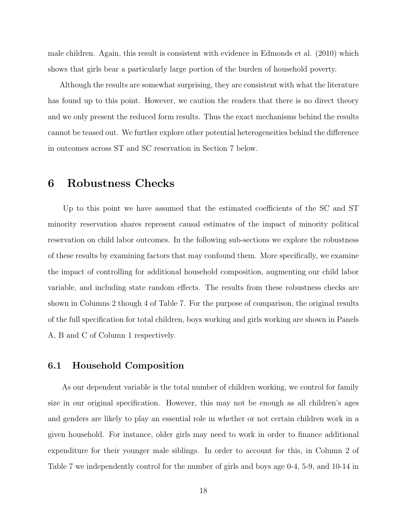male children. Again, this result is consistent with evidence in Edmonds et al. (2010) which shows that girls bear a particularly large portion of the burden of household poverty.

Although the results are somewhat surprising, they are consistent with what the literature has found up to this point. However, we caution the readers that there is no direct theory and we only present the reduced form results. Thus the exact mechanisms behind the results cannot be teased out. We further explore other potential heterogeneities behind the difference in outcomes across ST and SC reservation in Section 7 below.

## 6 Robustness Checks

Up to this point we have assumed that the estimated coefficients of the SC and ST minority reservation shares represent causal estimates of the impact of minority political reservation on child labor outcomes. In the following sub-sections we explore the robustness of these results by examining factors that may confound them. More specifically, we examine the impact of controlling for additional household composition, augmenting our child labor variable, and including state random effects. The results from these robustness checks are shown in Columns 2 though 4 of Table 7. For the purpose of comparison, the original results of the full specification for total children, boys working and girls working are shown in Panels A, B and C of Column 1 respectively.

#### 6.1 Household Composition

As our dependent variable is the total number of children working, we control for family size in our original specification. However, this may not be enough as all children's ages and genders are likely to play an essential role in whether or not certain children work in a given household. For instance, older girls may need to work in order to finance additional expenditure for their younger male siblings. In order to account for this, in Column 2 of Table 7 we independently control for the number of girls and boys age 0-4, 5-9, and 10-14 in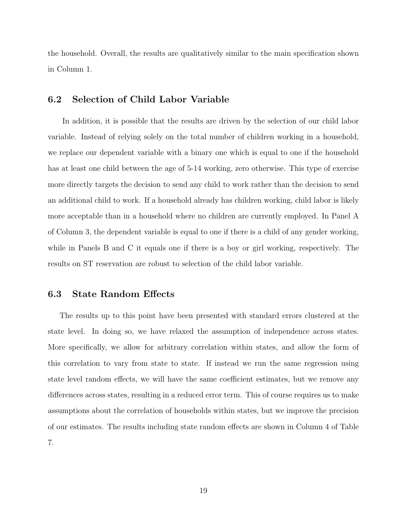the household. Overall, the results are qualitatively similar to the main specification shown in Column 1.

#### 6.2 Selection of Child Labor Variable

In addition, it is possible that the results are driven by the selection of our child labor variable. Instead of relying solely on the total number of children working in a household, we replace our dependent variable with a binary one which is equal to one if the household has at least one child between the age of 5-14 working, zero otherwise. This type of exercise more directly targets the decision to send any child to work rather than the decision to send an additional child to work. If a household already has children working, child labor is likely more acceptable than in a household where no children are currently employed. In Panel A of Column 3, the dependent variable is equal to one if there is a child of any gender working, while in Panels B and C it equals one if there is a boy or girl working, respectively. The results on ST reservation are robust to selection of the child labor variable.

#### 6.3 State Random Effects

The results up to this point have been presented with standard errors clustered at the state level. In doing so, we have relaxed the assumption of independence across states. More specifically, we allow for arbitrary correlation within states, and allow the form of this correlation to vary from state to state. If instead we run the same regression using state level random effects, we will have the same coefficient estimates, but we remove any differences across states, resulting in a reduced error term. This of course requires us to make assumptions about the correlation of households within states, but we improve the precision of our estimates. The results including state random effects are shown in Column 4 of Table 7.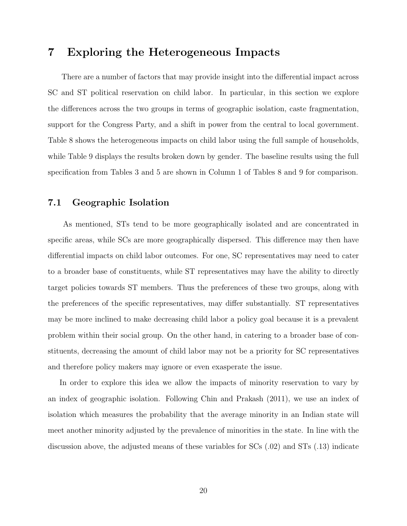# 7 Exploring the Heterogeneous Impacts

There are a number of factors that may provide insight into the differential impact across SC and ST political reservation on child labor. In particular, in this section we explore the differences across the two groups in terms of geographic isolation, caste fragmentation, support for the Congress Party, and a shift in power from the central to local government. Table 8 shows the heterogeneous impacts on child labor using the full sample of households, while Table 9 displays the results broken down by gender. The baseline results using the full specification from Tables 3 and 5 are shown in Column 1 of Tables 8 and 9 for comparison.

#### 7.1 Geographic Isolation

As mentioned, STs tend to be more geographically isolated and are concentrated in specific areas, while SCs are more geographically dispersed. This difference may then have differential impacts on child labor outcomes. For one, SC representatives may need to cater to a broader base of constituents, while ST representatives may have the ability to directly target policies towards ST members. Thus the preferences of these two groups, along with the preferences of the specific representatives, may differ substantially. ST representatives may be more inclined to make decreasing child labor a policy goal because it is a prevalent problem within their social group. On the other hand, in catering to a broader base of constituents, decreasing the amount of child labor may not be a priority for SC representatives and therefore policy makers may ignore or even exasperate the issue.

In order to explore this idea we allow the impacts of minority reservation to vary by an index of geographic isolation. Following Chin and Prakash (2011), we use an index of isolation which measures the probability that the average minority in an Indian state will meet another minority adjusted by the prevalence of minorities in the state. In line with the discussion above, the adjusted means of these variables for SCs (.02) and STs (.13) indicate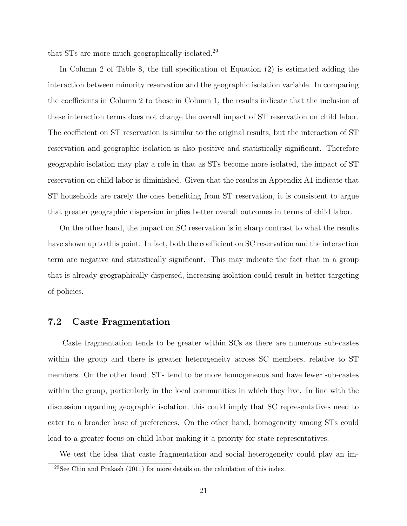that STs are more much geographically isolated.<sup>29</sup>

In Column 2 of Table 8, the full specification of Equation (2) is estimated adding the interaction between minority reservation and the geographic isolation variable. In comparing the coefficients in Column 2 to those in Column 1, the results indicate that the inclusion of these interaction terms does not change the overall impact of ST reservation on child labor. The coefficient on ST reservation is similar to the original results, but the interaction of ST reservation and geographic isolation is also positive and statistically significant. Therefore geographic isolation may play a role in that as STs become more isolated, the impact of ST reservation on child labor is diminished. Given that the results in Appendix A1 indicate that ST households are rarely the ones benefiting from ST reservation, it is consistent to argue that greater geographic dispersion implies better overall outcomes in terms of child labor.

On the other hand, the impact on SC reservation is in sharp contrast to what the results have shown up to this point. In fact, both the coefficient on SC reservation and the interaction term are negative and statistically significant. This may indicate the fact that in a group that is already geographically dispersed, increasing isolation could result in better targeting of policies.

#### 7.2 Caste Fragmentation

Caste fragmentation tends to be greater within SCs as there are numerous sub-castes within the group and there is greater heterogeneity across SC members, relative to ST members. On the other hand, STs tend to be more homogeneous and have fewer sub-castes within the group, particularly in the local communities in which they live. In line with the discussion regarding geographic isolation, this could imply that SC representatives need to cater to a broader base of preferences. On the other hand, homogeneity among STs could lead to a greater focus on child labor making it a priority for state representatives.

We test the idea that caste fragmentation and social heterogeneity could play an im- $29$ See Chin and Prakash (2011) for more details on the calculation of this index.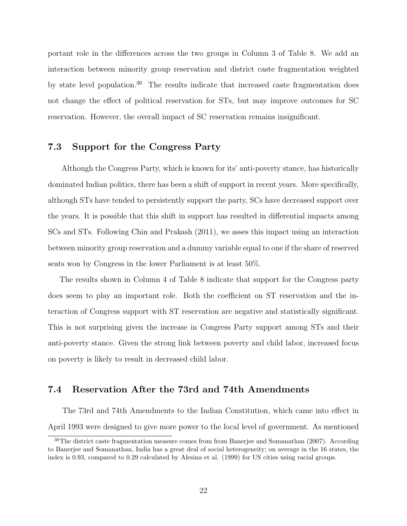portant role in the differences across the two groups in Column 3 of Table 8. We add an interaction between minority group reservation and district caste fragmentation weighted by state level population.<sup>30</sup> The results indicate that increased caste fragmentation does not change the effect of political reservation for STs, but may improve outcomes for SC reservation. However, the overall impact of SC reservation remains insignificant.

#### 7.3 Support for the Congress Party

Although the Congress Party, which is known for its' anti-poverty stance, has historically dominated Indian politics, there has been a shift of support in recent years. More specifically, although STs have tended to persistently support the party, SCs have decreased support over the years. It is possible that this shift in support has resulted in differential impacts among SCs and STs. Following Chin and Prakash (2011), we asses this impact using an interaction between minority group reservation and a dummy variable equal to one if the share of reserved seats won by Congress in the lower Parliament is at least 50%.

The results shown in Column 4 of Table 8 indicate that support for the Congress party does seem to play an important role. Both the coefficient on ST reservation and the interaction of Congress support with ST reservation are negative and statistically significant. This is not surprising given the increase in Congress Party support among STs and their anti-poverty stance. Given the strong link between poverty and child labor, increased focus on poverty is likely to result in decreased child labor.

#### 7.4 Reservation After the 73rd and 74th Amendments

The 73rd and 74th Amendments to the Indian Constitution, which came into effect in April 1993 were designed to give more power to the local level of government. As mentioned

<sup>&</sup>lt;sup>30</sup>The district caste fragmentation measure comes from from Banerjee and Somanathan (2007). According to Banerjee and Somanathan, India has a great deal of social heterogeneity; on average in the 16 states, the index is 0.93, compared to 0.29 calculated by Alesina et al. (1999) for US cities using racial groups.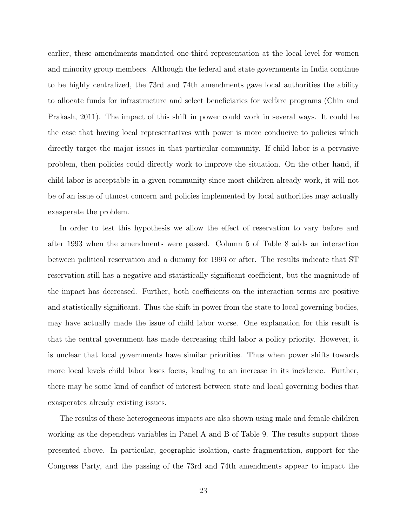earlier, these amendments mandated one-third representation at the local level for women and minority group members. Although the federal and state governments in India continue to be highly centralized, the 73rd and 74th amendments gave local authorities the ability to allocate funds for infrastructure and select beneficiaries for welfare programs (Chin and Prakash, 2011). The impact of this shift in power could work in several ways. It could be the case that having local representatives with power is more conducive to policies which directly target the major issues in that particular community. If child labor is a pervasive problem, then policies could directly work to improve the situation. On the other hand, if child labor is acceptable in a given community since most children already work, it will not be of an issue of utmost concern and policies implemented by local authorities may actually exasperate the problem.

In order to test this hypothesis we allow the effect of reservation to vary before and after 1993 when the amendments were passed. Column 5 of Table 8 adds an interaction between political reservation and a dummy for 1993 or after. The results indicate that ST reservation still has a negative and statistically significant coefficient, but the magnitude of the impact has decreased. Further, both coefficients on the interaction terms are positive and statistically significant. Thus the shift in power from the state to local governing bodies, may have actually made the issue of child labor worse. One explanation for this result is that the central government has made decreasing child labor a policy priority. However, it is unclear that local governments have similar priorities. Thus when power shifts towards more local levels child labor loses focus, leading to an increase in its incidence. Further, there may be some kind of conflict of interest between state and local governing bodies that exasperates already existing issues.

The results of these heterogeneous impacts are also shown using male and female children working as the dependent variables in Panel A and B of Table 9. The results support those presented above. In particular, geographic isolation, caste fragmentation, support for the Congress Party, and the passing of the 73rd and 74th amendments appear to impact the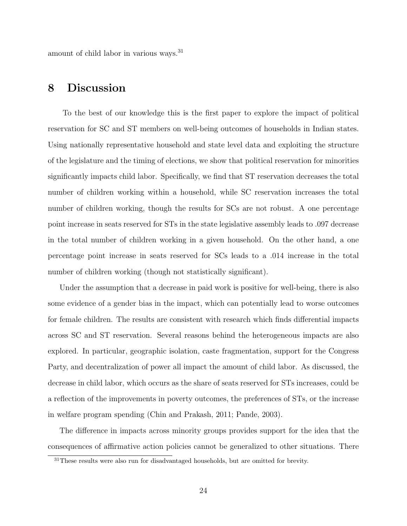amount of child labor in various ways.<sup>31</sup>

# 8 Discussion

To the best of our knowledge this is the first paper to explore the impact of political reservation for SC and ST members on well-being outcomes of households in Indian states. Using nationally representative household and state level data and exploiting the structure of the legislature and the timing of elections, we show that political reservation for minorities significantly impacts child labor. Specifically, we find that ST reservation decreases the total number of children working within a household, while SC reservation increases the total number of children working, though the results for SCs are not robust. A one percentage point increase in seats reserved for STs in the state legislative assembly leads to .097 decrease in the total number of children working in a given household. On the other hand, a one percentage point increase in seats reserved for SCs leads to a .014 increase in the total number of children working (though not statistically significant).

Under the assumption that a decrease in paid work is positive for well-being, there is also some evidence of a gender bias in the impact, which can potentially lead to worse outcomes for female children. The results are consistent with research which finds differential impacts across SC and ST reservation. Several reasons behind the heterogeneous impacts are also explored. In particular, geographic isolation, caste fragmentation, support for the Congress Party, and decentralization of power all impact the amount of child labor. As discussed, the decrease in child labor, which occurs as the share of seats reserved for STs increases, could be a reflection of the improvements in poverty outcomes, the preferences of STs, or the increase in welfare program spending (Chin and Prakash, 2011; Pande, 2003).

The difference in impacts across minority groups provides support for the idea that the consequences of affirmative action policies cannot be generalized to other situations. There

 $31$ These results were also run for disadvantaged households, but are omitted for brevity.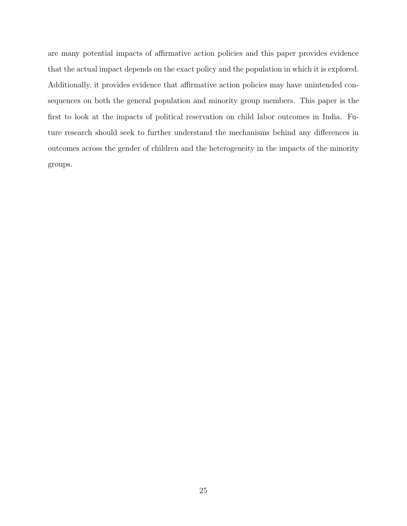are many potential impacts of affirmative action policies and this paper provides evidence that the actual impact depends on the exact policy and the population in which it is explored. Additionally, it provides evidence that affirmative action policies may have unintended consequences on both the general population and minority group members. This paper is the first to look at the impacts of political reservation on child labor outcomes in India. Future research should seek to further understand the mechanisms behind any differences in outcomes across the gender of children and the heterogeneity in the impacts of the minority groups.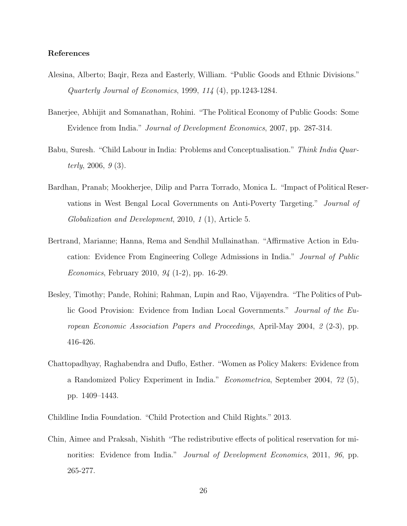#### References

- Alesina, Alberto; Baqir, Reza and Easterly, William. "Public Goods and Ethnic Divisions." Quarterly Journal of Economics, 1999, 114 (4), pp.1243-1284.
- Banerjee, Abhijit and Somanathan, Rohini. "The Political Economy of Public Goods: Some Evidence from India." Journal of Development Economics, 2007, pp. 287-314.
- Babu, Suresh. "Child Labour in India: Problems and Conceptualisation." Think India Quarterly,  $2006, g(3)$ .
- Bardhan, Pranab; Mookherjee, Dilip and Parra Torrado, Monica L. "Impact of Political Reservations in West Bengal Local Governments on Anti-Poverty Targeting." Journal of Globalization and Development, 2010, 1 (1), Article 5.
- Bertrand, Marianne; Hanna, Rema and Sendhil Mullainathan. "Affirmative Action in Education: Evidence From Engineering College Admissions in India." Journal of Public Economics, February 2010, 94 (1-2), pp. 16-29.
- Besley, Timothy; Pande, Rohini; Rahman, Lupin and Rao, Vijayendra. "The Politics of Public Good Provision: Evidence from Indian Local Governments." Journal of the European Economic Association Papers and Proceedings, April-May 2004, 2 (2-3), pp. 416-426.
- Chattopadhyay, Raghabendra and Duflo, Esther. "Women as Policy Makers: Evidence from a Randomized Policy Experiment in India." Econometrica, September 2004, 72 (5), pp. 1409–1443.
- Childline India Foundation. "Child Protection and Child Rights." 2013.
- Chin, Aimee and Praksah, Nishith "The redistributive effects of political reservation for minorities: Evidence from India." *Journal of Development Economics*, 2011, 96, pp. 265-277.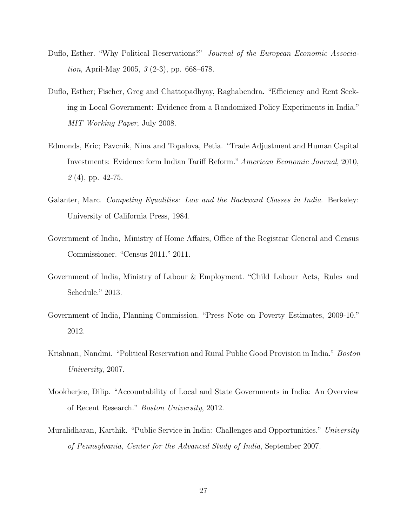- Duflo, Esther. "Why Political Reservations?" Journal of the European Economic Associa*tion*, April-May 2005,  $\beta$  (2-3), pp. 668–678.
- Duflo, Esther; Fischer, Greg and Chattopadhyay, Raghabendra. "Efficiency and Rent Seeking in Local Government: Evidence from a Randomized Policy Experiments in India." MIT Working Paper, July 2008.
- Edmonds, Eric; Pavcnik, Nina and Topalova, Petia. "Trade Adjustment and Human Capital Investments: Evidence form Indian Tariff Reform." American Economic Journal, 2010,  $2(4)$ , pp. 42-75.
- Galanter, Marc. Competing Equalities: Law and the Backward Classes in India. Berkeley: University of California Press, 1984.
- Government of India, Ministry of Home Affairs, Office of the Registrar General and Census Commissioner. "Census 2011." 2011.
- Government of India, Ministry of Labour & Employment. "Child Labour Acts, Rules and Schedule." 2013.
- Government of India, Planning Commission. "Press Note on Poverty Estimates, 2009-10." 2012.
- Krishnan, Nandini. "Political Reservation and Rural Public Good Provision in India." Boston University, 2007.
- Mookherjee, Dilip. "Accountability of Local and State Governments in India: An Overview of Recent Research." Boston University, 2012.
- Muralidharan, Karthik. "Public Service in India: Challenges and Opportunities." University of Pennsylvania, Center for the Advanced Study of India, September 2007.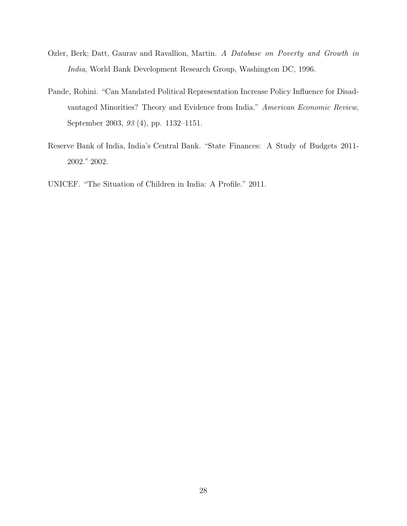- Ozler, Berk; Datt, Gaurav and Ravallion, Martin. A Database on Poverty and Growth in India, World Bank Development Research Group, Washington DC, 1996.
- Pande, Rohini. "Can Mandated Political Representation Increase Policy Influence for Disadvantaged Minorities? Theory and Evidence from India." American Economic Review, September 2003, 93 (4), pp. 1132–1151.
- Reserve Bank of India, India's Central Bank. "State Finances: A Study of Budgets 2011- 2002." 2002.
- UNICEF. "The Situation of Children in India: A Profile." 2011.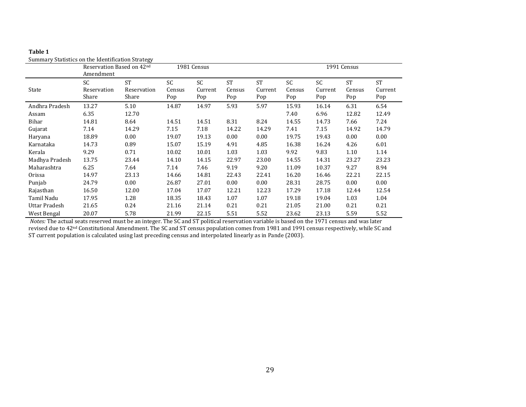|                | Reservation Based on 42nd<br>Amendment |                                   | 1981 Census         |                             |                            |                             | 1991 Census         |                      |                            |                             |
|----------------|----------------------------------------|-----------------------------------|---------------------|-----------------------------|----------------------------|-----------------------------|---------------------|----------------------|----------------------------|-----------------------------|
| State          | <b>SC</b><br>Reservation<br>Share      | <b>ST</b><br>Reservation<br>Share | SC<br>Census<br>Pop | <b>SC</b><br>Current<br>Pop | <b>ST</b><br>Census<br>Pop | <b>ST</b><br>Current<br>Pop | SC<br>Census<br>Pop | SC<br>Current<br>Pop | <b>ST</b><br>Census<br>Pop | <b>ST</b><br>Current<br>Pop |
| Andhra Pradesh | 13.27                                  | 5.10                              | 14.87               | 14.97                       | 5.93                       | 5.97                        | 15.93               | 16.14                | 6.31                       | 6.54                        |
| Assam          | 6.35                                   | 12.70                             |                     |                             |                            |                             | 7.40                | 6.96                 | 12.82                      | 12.49                       |
| Bihar          | 14.81                                  | 8.64                              | 14.51               | 14.51                       | 8.31                       | 8.24                        | 14.55               | 14.73                | 7.66                       | 7.24                        |
| Gujarat        | 7.14                                   | 14.29                             | 7.15                | 7.18                        | 14.22                      | 14.29                       | 7.41                | 7.15                 | 14.92                      | 14.79                       |
| Haryana        | 18.89                                  | 0.00                              | 19.07               | 19.13                       | 0.00                       | 0.00                        | 19.75               | 19.43                | 0.00                       | 0.00                        |
| Karnataka      | 14.73                                  | 0.89                              | 15.07               | 15.19                       | 4.91                       | 4.85                        | 16.38               | 16.24                | 4.26                       | 6.01                        |
| Kerala         | 9.29                                   | 0.71                              | 10.02               | 10.01                       | 1.03                       | 1.03                        | 9.92                | 9.83                 | 1.10                       | 1.14                        |
| Madhya Pradesh | 13.75                                  | 23.44                             | 14.10               | 14.15                       | 22.97                      | 23.00                       | 14.55               | 14.31                | 23.27                      | 23.23                       |
| Maharashtra    | 6.25                                   | 7.64                              | 7.14                | 7.46                        | 9.19                       | 9.20                        | 11.09               | 10.37                | 9.27                       | 8.94                        |
| Orissa         | 14.97                                  | 23.13                             | 14.66               | 14.81                       | 22.43                      | 22.41                       | 16.20               | 16.46                | 22.21                      | 22.15                       |
| Punjab         | 24.79                                  | 0.00                              | 26.87               | 27.01                       | 0.00                       | 0.00                        | 28.31               | 28.75                | 0.00                       | 0.00                        |
| Rajasthan      | 16.50                                  | 12.00                             | 17.04               | 17.07                       | 12.21                      | 12.23                       | 17.29               | 17.18                | 12.44                      | 12.54                       |
| Tamil Nadu     | 17.95                                  | 1.28                              | 18.35               | 18.43                       | 1.07                       | 1.07                        | 19.18               | 19.04                | 1.03                       | 1.04                        |
| Uttar Pradesh  | 21.65                                  | 0.24                              | 21.16               | 21.14                       | 0.21                       | 0.21                        | 21.05               | 21.00                | 0.21                       | 0.21                        |
| West Bengal    | 20.07                                  | 5.78                              | 21.99               | 22.15                       | 5.51                       | 5.52                        | 23.62               | 23.13                | 5.59                       | 5.52                        |

Summary Statistics on the Identification Strategy

*Notes:* The actual seats reserved must be an integer. The SC and ST political reservation variable is based on the 1971 census and was later revised due to 42nd Constitutional Amendment. The SC and ST census population comes from 1981 and 1991 census respectively, while SC and ST current population is calculated using last preceding census and interpolated linearly as in Pande (2003).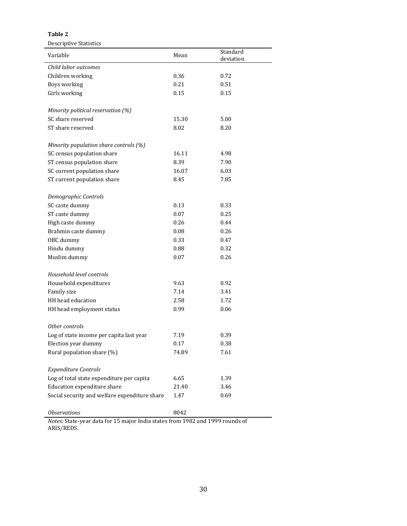Descriptive Statistics

| Variable                                           | Mean                   | Standard<br>deviation |
|----------------------------------------------------|------------------------|-----------------------|
| Child labor outcomes                               |                        |                       |
| Children working                                   | 0.36                   | 0.72                  |
| Boys working                                       | 0.21                   | 0.51                  |
| Girls working                                      | 0.15                   | 0.15                  |
|                                                    |                        |                       |
| Minority political reservation (%)                 |                        |                       |
| SC share reserved                                  | 15.30                  | 5.00                  |
| ST share reserved                                  | 8.02                   | 8.20                  |
|                                                    |                        |                       |
| Minority population share controls (%)             |                        |                       |
| SC census population share                         | 16.11                  | 4.98                  |
| ST census population share                         | 8.39                   | 7.90                  |
| SC current population share                        | 16.07                  | 6.03                  |
| ST current population share                        | 8.45                   | 7.85                  |
| Demographic Controls                               |                        |                       |
| SC caste dummy                                     | 0.13                   | 0.33                  |
| ST caste dummy                                     | 0.07                   | 0.25                  |
| High caste dummy                                   | 0.26                   | 0.44                  |
| Brahmin caste dummy                                | 0.08                   | 0.26                  |
| OBC dummy                                          | 0.33                   | 0.47                  |
| Hindu dummy                                        | 0.88                   | 0.32                  |
| Muslim dummy                                       | 0.07                   | 0.26                  |
|                                                    |                        |                       |
| Household level controls                           |                        |                       |
| Household expenditures                             | 9.63                   | 0.92                  |
| Family size                                        | 7.14                   | 3.41                  |
| HH head education                                  | 2.58                   | 1.72                  |
| HH head employment status                          | 0.99                   | 0.06                  |
|                                                    |                        |                       |
| Other controls                                     |                        |                       |
| Log of state income per capita last year           | 7.19                   | 0.39                  |
| Election year dummy                                | 0.17                   | 0.38                  |
| Rural population share (%)                         | 74.89                  | 7.61                  |
| <b>Expenditure Controls</b>                        |                        |                       |
| Log of total state expenditure per capita          | 6.65                   | 1.39                  |
| Education expenditure share                        | 21.40                  | 3.46                  |
| Social security and welfare expenditure share      | 1.47                   | 0.69                  |
| <b>Observations</b><br>an data fan 15 mai en India | 8042<br>$1002 - 11000$ |                       |

*Notes:* State-year data for 15 major India states from 1982 and 1999 rounds of ARIS/REDS.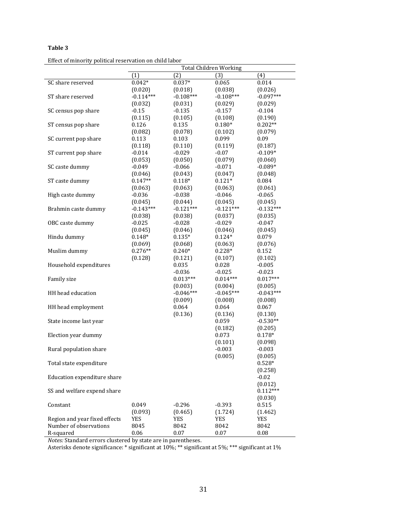Effect of minority political reservation on child labor

|                               |             |             | <b>Total Children Working</b> |             |
|-------------------------------|-------------|-------------|-------------------------------|-------------|
|                               | (1)         | (2)         | (3)                           | (4)         |
| SC share reserved             | $0.042*$    | $0.037*$    | 0.065                         | 0.014       |
|                               | (0.020)     | (0.018)     | (0.038)                       | (0.026)     |
| ST share reserved             | $-0.114***$ | $-0.108***$ | $-0.108***$                   | $-0.097***$ |
|                               | (0.032)     | (0.031)     | (0.029)                       | (0.029)     |
| SC census pop share           | $-0.15$     | $-0.135$    | $-0.157$                      | $-0.104$    |
|                               | (0.115)     | (0.105)     | (0.108)                       | (0.190)     |
| ST census pop share           | 0.126       | 0.135       | $0.180*$                      | $0.202**$   |
|                               | (0.082)     | (0.078)     | (0.102)                       | (0.079)     |
| SC current pop share          | 0.113       | 0.103       | 0.099                         | 0.09        |
|                               | (0.118)     | (0.110)     | (0.119)                       | (0.187)     |
| ST current pop share          | $-0.014$    | $-0.029$    | $-0.07$                       | $-0.109*$   |
|                               | (0.053)     | (0.050)     | (0.079)                       | (0.060)     |
| SC caste dummy                | $-0.049$    | $-0.066$    | $-0.071$                      | $-0.089*$   |
|                               | (0.046)     | (0.043)     | (0.047)                       | (0.048)     |
| ST caste dummy                | $0.147**$   | $0.118*$    | $0.121*$                      | 0.084       |
|                               | (0.063)     | (0.063)     | (0.063)                       | (0.061)     |
| High caste dummy              | $-0.036$    | $-0.038$    | $-0.046$                      | $-0.065$    |
|                               | (0.045)     | (0.044)     | (0.045)                       | (0.045)     |
| Brahmin caste dummy           | $-0.143***$ | $-0.121***$ | $-0.121***$                   | $-0.132***$ |
|                               | (0.038)     | (0.038)     | (0.037)                       | (0.035)     |
| OBC caste dummy               | $-0.025$    | $-0.028$    | $-0.029$                      | $-0.047$    |
|                               | (0.045)     | (0.046)     | (0.046)                       | (0.045)     |
| Hindu dummy                   | $0.148*$    | $0.135*$    | $0.124*$                      | 0.079       |
|                               | (0.069)     | (0.068)     | (0.063)                       | (0.076)     |
| Muslim dummy                  | $0.276**$   | $0.240*$    | $0.228*$                      | 0.152       |
|                               | (0.128)     | (0.121)     | (0.107)                       | (0.102)     |
| Household expenditures        |             | 0.035       | 0.028                         | $-0.005$    |
|                               |             | $-0.036$    | $-0.025$                      | $-0.023$    |
| Family size                   |             | $0.013***$  | $0.014***$                    | $0.017***$  |
|                               |             | (0.003)     | (0.004)                       | (0.005)     |
| HH head education             |             | $-0.046***$ | $-0.045***$                   | $-0.043***$ |
|                               |             | (0.009)     | (0.008)                       | (0.008)     |
| HH head employment            |             | 0.064       | 0.064                         | 0.067       |
|                               |             | (0.136)     | (0.136)                       | (0.130)     |
| State income last year        |             |             | 0.059                         | $-0.530**$  |
|                               |             |             | (0.182)                       | (0.205)     |
| Election year dummy           |             |             | 0.073                         | $0.178*$    |
|                               |             |             | (0.101)                       | (0.098)     |
| Rural population share        |             |             | $-0.003$                      | $-0.003$    |
|                               |             |             | (0.005)                       | (0.005)     |
| Total state expenditure       |             |             |                               | $0.528*$    |
|                               |             |             |                               | (0.258)     |
| Education expenditure share   |             |             |                               | $-0.02$     |
|                               |             |             |                               | (0.012)     |
| SS and welfare expend share   |             |             |                               | $0.112***$  |
|                               |             |             |                               | (0.030)     |
| Constant                      | 0.049       | $-0.296$    | $-0.393$                      | 0.515       |
|                               | (0.093)     | (0.465)     | (1.724)                       | (1.462)     |
| Region and year fixed effects | <b>YES</b>  | YES         | YES                           | YES         |
| Number of observations        | 8045        | 8042        | 8042                          | 8042        |
| R-squared                     | 0.06        | 0.07        | 0.07                          | 0.08        |

*Notes:* Standard errors clustered by state are in parentheses.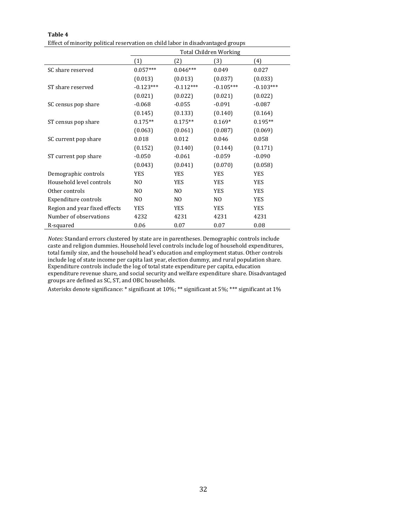Effect of minority political reservation on child labor in disadvantaged groups

|                               | <b>Total Children Working</b> |                |                |             |  |  |
|-------------------------------|-------------------------------|----------------|----------------|-------------|--|--|
|                               | (1)                           | (2)            | (3)            | (4)         |  |  |
| SC share reserved             | $0.057***$                    | $0.046***$     | 0.049          | 0.027       |  |  |
|                               | (0.013)                       | (0.013)        | (0.037)        | (0.033)     |  |  |
| ST share reserved             | $-0.123***$                   | $-0.112***$    | $-0.105***$    | $-0.103***$ |  |  |
|                               | (0.021)                       | (0.022)        | (0.021)        | (0.022)     |  |  |
| SC census pop share           | $-0.068$                      | $-0.055$       | $-0.091$       | $-0.087$    |  |  |
|                               | (0.145)                       | (0.133)        | (0.140)        | (0.164)     |  |  |
| ST census pop share           | $0.175**$                     | $0.175**$      | $0.169*$       | $0.195**$   |  |  |
|                               | (0.063)                       | (0.061)        | (0.087)        | (0.069)     |  |  |
| SC current pop share          | 0.018                         | 0.012          | 0.046          | 0.058       |  |  |
|                               | (0.152)                       | (0.140)        | (0.144)        | (0.171)     |  |  |
| ST current pop share          | $-0.050$                      | $-0.061$       | $-0.059$       | $-0.090$    |  |  |
|                               | (0.043)                       | (0.041)        | (0.070)        | (0.058)     |  |  |
| Demographic controls          | <b>YES</b>                    | <b>YES</b>     | <b>YES</b>     | <b>YES</b>  |  |  |
| Household level controls      | N <sub>0</sub>                | <b>YES</b>     | <b>YES</b>     | <b>YES</b>  |  |  |
| Other controls                | N <sub>0</sub>                | N <sub>0</sub> | <b>YES</b>     | <b>YES</b>  |  |  |
| Expenditure controls          | N <sub>O</sub>                | N <sub>O</sub> | N <sub>O</sub> | <b>YES</b>  |  |  |
| Region and year fixed effects | <b>YES</b>                    | <b>YES</b>     | <b>YES</b>     | <b>YES</b>  |  |  |
| Number of observations        | 4232                          | 4231           | 4231           | 4231        |  |  |
| R-squared                     | 0.06                          | 0.07           | 0.07           | 0.08        |  |  |

*Notes:* Standard errors clustered by state are in parentheses. Demographic controls include caste and religion dummies. Household level controls include log of household expenditures, total family size, and the household head's education and employment status. Other controls include log of state income per capita last year, election dummy, and rural population share. Expenditure controls include the log of total state expenditure per capita, education expenditure revenue share, and social security and welfare expenditure share. Disadvantaged groups are defined as SC, ST, and OBC households.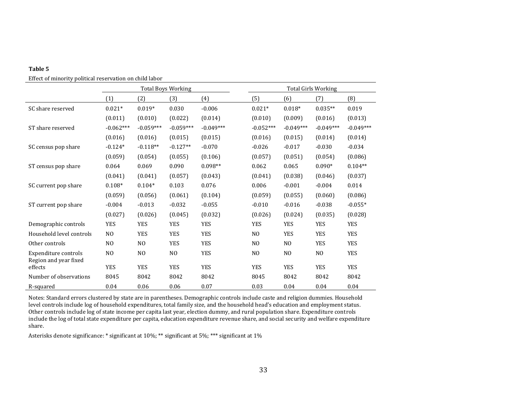Effect of minority political reservation on child labor

|                                               |                | <b>Total Boys Working</b> |                |             |                | <b>Total Girls Working</b> |                |             |  |
|-----------------------------------------------|----------------|---------------------------|----------------|-------------|----------------|----------------------------|----------------|-------------|--|
|                                               | (1)            | (2)                       | (3)            | (4)         | (5)            | (6)                        | (7)            | (8)         |  |
| SC share reserved                             | $0.021*$       | $0.019*$                  | 0.030          | $-0.006$    | $0.021*$       | $0.018*$                   | $0.035**$      | 0.019       |  |
|                                               | (0.011)        | (0.010)                   | (0.022)        | (0.014)     | (0.010)        | (0.009)                    | (0.016)        | (0.013)     |  |
| ST share reserved                             | $-0.062***$    | $-0.059***$               | $-0.059***$    | $-0.049***$ | $-0.052***$    | $-0.049***$                | $-0.049***$    | $-0.049***$ |  |
|                                               | (0.016)        | (0.016)                   | (0.015)        | (0.015)     | (0.016)        | (0.015)                    | (0.014)        | (0.014)     |  |
| SC census pop share                           | $-0.124*$      | $-0.118**$                | $-0.127**$     | $-0.070$    | $-0.026$       | $-0.017$                   | $-0.030$       | $-0.034$    |  |
|                                               | (0.059)        | (0.054)                   | (0.055)        | (0.106)     | (0.057)        | (0.051)                    | (0.054)        | (0.086)     |  |
| ST census pop share                           | 0.064          | 0.069                     | 0.090          | $0.098**$   | 0.062          | 0.065                      | $0.090*$       | $0.104**$   |  |
|                                               | (0.041)        | (0.041)                   | (0.057)        | (0.043)     | (0.041)        | (0.038)                    | (0.046)        | (0.037)     |  |
| SC current pop share                          | $0.108*$       | $0.104*$                  | 0.103          | 0.076       | 0.006          | $-0.001$                   | $-0.004$       | 0.014       |  |
|                                               | (0.059)        | (0.056)                   | (0.061)        | (0.104)     | (0.059)        | (0.055)                    | (0.060)        | (0.086)     |  |
| ST current pop share                          | $-0.004$       | $-0.013$                  | $-0.032$       | $-0.055$    | $-0.010$       | $-0.016$                   | $-0.038$       | $-0.055*$   |  |
|                                               | (0.027)        | (0.026)                   | (0.045)        | (0.032)     | (0.026)        | (0.024)                    | (0.035)        | (0.028)     |  |
| Demographic controls                          | <b>YES</b>     | <b>YES</b>                | <b>YES</b>     | <b>YES</b>  | <b>YES</b>     | <b>YES</b>                 | <b>YES</b>     | <b>YES</b>  |  |
| Household level controls                      | N <sub>O</sub> | <b>YES</b>                | <b>YES</b>     | <b>YES</b>  | N <sub>0</sub> | <b>YES</b>                 | <b>YES</b>     | <b>YES</b>  |  |
| Other controls                                | N <sub>O</sub> | N <sub>O</sub>            | <b>YES</b>     | <b>YES</b>  | N <sub>0</sub> | NO                         | <b>YES</b>     | <b>YES</b>  |  |
| Expenditure controls<br>Region and year fixed | N <sub>O</sub> | N <sub>0</sub>            | N <sub>0</sub> | <b>YES</b>  | N <sub>O</sub> | N <sub>0</sub>             | N <sub>0</sub> | YES         |  |
| effects                                       | <b>YES</b>     | <b>YES</b>                | <b>YES</b>     | <b>YES</b>  | <b>YES</b>     | <b>YES</b>                 | <b>YES</b>     | <b>YES</b>  |  |
| Number of observations                        | 8045           | 8042                      | 8042           | 8042        | 8045           | 8042                       | 8042           | 8042        |  |
| R-squared                                     | 0.04           | 0.06                      | 0.06           | 0.07        | 0.03           | 0.04                       | 0.04           | 0.04        |  |

Notes: Standard errors clustered by state are in parentheses. Demographic controls include caste and religion dummies. Household level controls include log of household expenditures, total family size, and the household head's education and employment status. Other controls include log of state income per capita last year, election dummy, and rural population share. Expenditure controls include the log of total state expenditure per capita, education expenditure revenue share, and social security and welfare expenditure share.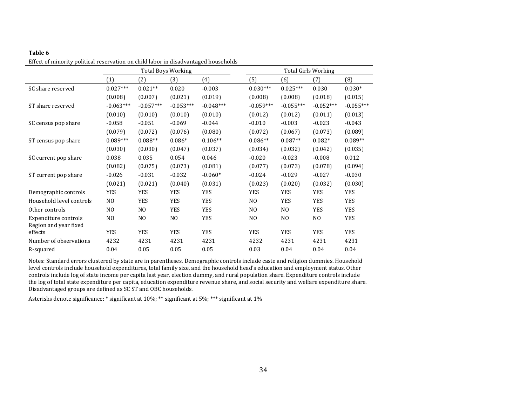|                                               |                |                | <b>Total Boys Working</b> |             | <b>Total Girls Working</b> |                |                |             |
|-----------------------------------------------|----------------|----------------|---------------------------|-------------|----------------------------|----------------|----------------|-------------|
|                                               | (1)            | (2)            | (3)                       | (4)         | (5)                        | (6)            | (7)            | (8)         |
| SC share reserved                             | $0.027***$     | $0.021**$      | 0.020                     | $-0.003$    | $0.030***$                 | $0.025***$     | 0.030          | $0.030*$    |
|                                               | (0.008)        | (0.007)        | (0.021)                   | (0.019)     | (0.008)                    | (0.008)        | (0.018)        | (0.015)     |
| ST share reserved                             | $-0.063***$    | $-0.057***$    | $-0.053***$               | $-0.048***$ | $-0.059***$                | $-0.055***$    | $-0.052***$    | $-0.055***$ |
|                                               | (0.010)        | (0.010)        | (0.010)                   | (0.010)     | (0.012)                    | (0.012)        | (0.011)        | (0.013)     |
| SC census pop share                           | $-0.058$       | $-0.051$       | $-0.069$                  | $-0.044$    | $-0.010$                   | $-0.003$       | $-0.023$       | $-0.043$    |
|                                               | (0.079)        | (0.072)        | (0.076)                   | (0.080)     | (0.072)                    | (0.067)        | (0.073)        | (0.089)     |
| ST census pop share                           | $0.089***$     | $0.088**$      | $0.086*$                  | $0.106**$   | $0.086**$                  | $0.087**$      | $0.082*$       | $0.089**$   |
|                                               | (0.030)        | (0.030)        | (0.047)                   | (0.037)     | (0.034)                    | (0.032)        | (0.042)        | (0.035)     |
| SC current pop share                          | 0.038          | 0.035          | 0.054                     | 0.046       | $-0.020$                   | $-0.023$       | $-0.008$       | 0.012       |
|                                               | (0.082)        | (0.075)        | (0.073)                   | (0.081)     | (0.077)                    | (0.073)        | (0.078)        | (0.094)     |
| ST current pop share                          | $-0.026$       | $-0.031$       | $-0.032$                  | $-0.060*$   | $-0.024$                   | $-0.029$       | $-0.027$       | $-0.030$    |
|                                               | (0.021)        | (0.021)        | (0.040)                   | (0.031)     | (0.023)                    | (0.020)        | (0.032)        | (0.030)     |
| Demographic controls                          | <b>YES</b>     | <b>YES</b>     | <b>YES</b>                | <b>YES</b>  | <b>YES</b>                 | <b>YES</b>     | <b>YES</b>     | <b>YES</b>  |
| Household level controls                      | N <sub>0</sub> | <b>YES</b>     | <b>YES</b>                | <b>YES</b>  | N <sub>O</sub>             | <b>YES</b>     | <b>YES</b>     | <b>YES</b>  |
| Other controls                                | N <sub>0</sub> | N <sub>O</sub> | <b>YES</b>                | <b>YES</b>  | N <sub>O</sub>             | N <sub>O</sub> | YES            | <b>YES</b>  |
| Expenditure controls<br>Region and year fixed | N <sub>0</sub> | N <sub>O</sub> | N <sub>O</sub>            | <b>YES</b>  | N <sub>O</sub>             | N <sub>O</sub> | N <sub>O</sub> | <b>YES</b>  |
| effects                                       | <b>YES</b>     | <b>YES</b>     | <b>YES</b>                | <b>YES</b>  | <b>YES</b>                 | <b>YES</b>     | <b>YES</b>     | <b>YES</b>  |
| Number of observations                        | 4232           | 4231           | 4231                      | 4231        | 4232                       | 4231           | 4231           | 4231        |
| R-squared                                     | 0.04           | 0.05           | 0.05                      | 0.05        | 0.03                       | 0.04           | 0.04           | 0.04        |

Effect of minority political reservation on child labor in disadvantaged households

Notes: Standard errors clustered by state are in parentheses. Demographic controls include caste and religion dummies. Household level controls include household expenditures, total family size, and the household head's education and employment status. Other controls include log of state income per capita last year, election dummy, and rural population share. Expenditure controls include the log of total state expenditure per capita, education expenditure revenue share, and social security and welfare expenditure share. Disadvantaged groups are defined as SC ST and OBC households.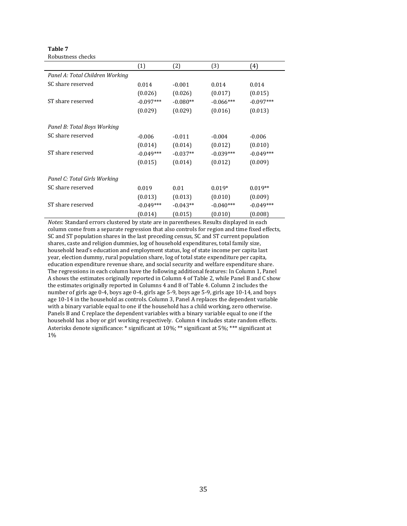**Table 7** Robustness checks

|                                 | (1)         | (2)        | (3)         | (4)         |
|---------------------------------|-------------|------------|-------------|-------------|
| Panel A: Total Children Working |             |            |             |             |
| SC share reserved               | 0.014       | $-0.001$   | 0.014       | 0.014       |
|                                 | (0.026)     | (0.026)    | (0.017)     | (0.015)     |
| ST share reserved               | $-0.097***$ | $-0.080**$ | $-0.066***$ | $-0.097***$ |
|                                 | (0.029)     | (0.029)    | (0.016)     | (0.013)     |
| Panel B: Total Boys Working     |             |            |             |             |
| SC share reserved               | $-0.006$    | $-0.011$   | $-0.004$    | $-0.006$    |
|                                 | (0.014)     | (0.014)    | (0.012)     | (0.010)     |
| ST share reserved               | $-0.049***$ | $-0.037**$ | $-0.039***$ | $-0.049***$ |
|                                 | (0.015)     | (0.014)    | (0.012)     | (0.009)     |
| Panel C: Total Girls Working    |             |            |             |             |
| SC share reserved               | 0.019       | 0.01       | $0.019*$    | $0.019**$   |
|                                 | (0.013)     | (0.013)    | (0.010)     | (0.009)     |
| ST share reserved               | $-0.049***$ | $-0.043**$ | $-0.040***$ | $-0.049***$ |
|                                 | (0.014)     | (0.015)    | (0.010)     | (0.008)     |

*Notes*: Standard errors clustered by state are in parentheses. Results displayed in each column come from a separate regression that also controls for region and time fixed effects, SC and ST population shares in the last preceding census, SC and ST current population shares, caste and religion dummies, log of household expenditures, total family size, household head's education and employment status, log of state income per capita last year, election dummy, rural population share, log of total state expenditure per capita, education expenditure revenue share, and social security and welfare expenditure share. The regressions in each column have the following additional features: In Column 1, Panel A shows the estimates originally reported in Column 4 of Table 2, while Panel B and C show the estimates originally reported in Columns 4 and 8 of Table 4. Column 2 includes the number of girls age 0-4, boys age 0-4, girls age 5-9, boys age 5-9, girls age 10-14, and boys age 10-14 in the household as controls. Column 3, Panel A replaces the dependent variable with a binary variable equal to one if the household has a child working, zero otherwise. Panels B and C replace the dependent variables with a binary variable equal to one if the household has a boy or girl working respectively. Column 4 includes state random effects. Asterisks denote significance: \* significant at 10%; \*\* significant at 5%; \*\*\* significant at 1%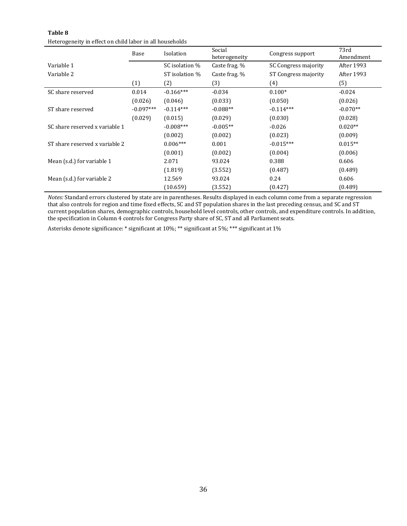| Table 8                                                  |
|----------------------------------------------------------|
| Heterogeneity in effect on child labor in all households |

|                                | Base        | Isolation      | Social<br>heterogeneity | Congress support     | 73rd<br>Amendment |
|--------------------------------|-------------|----------------|-------------------------|----------------------|-------------------|
| Variable 1                     |             | SC isolation % | Caste frag. %           | SC Congress majority | After 1993        |
| Variable 2                     |             | ST isolation % | Caste frag. %           | ST Congress majority | After 1993        |
|                                | (1)         | (2)            | (3)                     | (4)                  | (5)               |
| SC share reserved              | 0.014       | $-0.166***$    | $-0.034$                | $0.100*$             | $-0.024$          |
|                                | (0.026)     | (0.046)        | (0.033)                 | (0.050)              | (0.026)           |
| ST share reserved              | $-0.097***$ | $-0.114***$    | $-0.088**$              | $-0.114***$          | $-0.070**$        |
|                                | (0.029)     | (0.015)        | (0.029)                 | (0.030)              | (0.028)           |
| SC share reserved x variable 1 |             | $-0.008***$    | $-0.005**$              | $-0.026$             | $0.020**$         |
|                                |             | (0.002)        | (0.002)                 | (0.023)              | (0.009)           |
| ST share reserved x variable 2 |             | $0.006***$     | 0.001                   | $-0.015***$          | $0.015**$         |
|                                |             | (0.001)        | (0.002)                 | (0.004)              | (0.006)           |
| Mean (s.d.) for variable 1     |             | 2.071          | 93.024                  | 0.388                | 0.606             |
|                                |             | (1.819)        | (3.552)                 | (0.487)              | (0.489)           |
| Mean (s.d.) for variable 2     |             | 12.569         | 93.024                  | 0.24                 | 0.606             |
|                                |             | (10.659)       | (3.552)                 | (0.427)              | (0.489)           |

*Notes:* Standard errors clustered by state are in parentheses. Results displayed in each column come from a separate regression that also controls for region and time fixed effects, SC and ST population shares in the last preceding census, and SC and ST current population shares, demographic controls, household level controls, other controls, and expenditure controls. In addition, the specification in Column 4 controls for Congress Party share of SC, ST and all Parliament seats.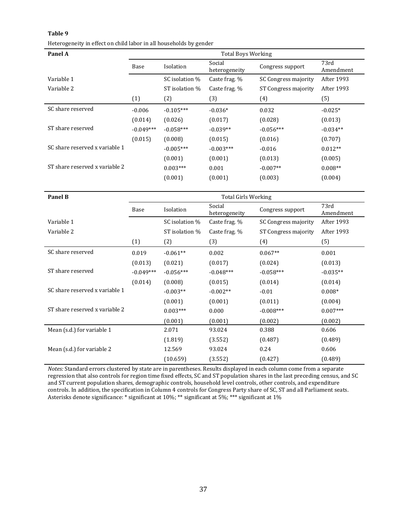| Heterogeneity in effect on child labor in all households by gender |  |  |
|--------------------------------------------------------------------|--|--|
|--------------------------------------------------------------------|--|--|

| Panel A                        |             | <b>Total Boys Working</b> |                         |                      |                   |  |  |  |
|--------------------------------|-------------|---------------------------|-------------------------|----------------------|-------------------|--|--|--|
|                                | Base        | Isolation                 | Social<br>heterogeneity | Congress support     | 73rd<br>Amendment |  |  |  |
| Variable 1                     |             | SC isolation %            | Caste frag. %           | SC Congress majority | After 1993        |  |  |  |
| Variable 2                     |             | ST isolation %            | Caste frag. %           | ST Congress majority | After 1993        |  |  |  |
|                                | (1)         | (2)                       | (3)                     | (4)                  | (5)               |  |  |  |
| SC share reserved              | $-0.006$    | $-0.105***$               | $-0.036*$               | 0.032                | $-0.025*$         |  |  |  |
|                                | (0.014)     | (0.026)                   | (0.017)                 | (0.028)              | (0.013)           |  |  |  |
| ST share reserved              | $-0.049***$ | $-0.058***$               | $-0.039**$              | $-0.056***$          | $-0.034**$        |  |  |  |
|                                | (0.015)     | (0.008)                   | (0.015)                 | (0.016)              | (0.707)           |  |  |  |
| SC share reserved x variable 1 |             | $-0.005***$               | $-0.003***$             | $-0.016$             | $0.012**$         |  |  |  |
|                                |             | (0.001)                   | (0.001)                 | (0.013)              | (0.005)           |  |  |  |
| ST share reserved x variable 2 |             | $0.003***$                | 0.001                   | $-0.007**$           | $0.008**$         |  |  |  |
|                                |             | (0.001)                   | (0.001)                 | (0.003)              | (0.004)           |  |  |  |

| Panel B                        |             | <b>Total Girls Working</b> |                         |                      |                   |  |  |
|--------------------------------|-------------|----------------------------|-------------------------|----------------------|-------------------|--|--|
|                                | Base        | Isolation                  | Social<br>heterogeneity | Congress support     | 73rd<br>Amendment |  |  |
| Variable 1                     |             | SC isolation %             | Caste frag. %           | SC Congress majority | After 1993        |  |  |
| Variable 2                     |             | ST isolation %             | Caste frag. %           | ST Congress majority | After 1993        |  |  |
|                                | (1)         | (2)                        | (3)                     | (4)                  | (5)               |  |  |
| SC share reserved              | 0.019       | $-0.061**$                 | 0.002                   | $0.067**$            | 0.001             |  |  |
|                                | (0.013)     | (0.021)                    | (0.017)                 | (0.024)              | (0.013)           |  |  |
| ST share reserved              | $-0.049***$ | $-0.056***$                | $-0.048***$             | $-0.058***$          | $-0.035**$        |  |  |
|                                | (0.014)     | (0.008)                    | (0.015)                 | (0.014)              | (0.014)           |  |  |
| SC share reserved x variable 1 |             | $-0.003**$                 | $-0.002**$              | $-0.01$              | $0.008*$          |  |  |
|                                |             | (0.001)                    | (0.001)                 | (0.011)              | (0.004)           |  |  |
| ST share reserved x variable 2 |             | $0.003***$                 | 0.000                   | $-0.008***$          | $0.007***$        |  |  |
|                                |             | (0.001)                    | (0.001)                 | (0.002)              | (0.002)           |  |  |
| Mean (s.d.) for variable 1     |             | 2.071                      | 93.024                  | 0.388                | 0.606             |  |  |
|                                |             | (1.819)                    | (3.552)                 | (0.487)              | (0.489)           |  |  |
| Mean (s.d.) for variable 2     |             | 12.569                     | 93.024                  | 0.24                 | 0.606             |  |  |
|                                |             | (10.659)                   | (3.552)                 | (0.427)              | (0.489)           |  |  |

*Notes:* Standard errors clustered by state are in parentheses. Results displayed in each column come from a separate regression that also controls for region time fixed effects, SC and ST population shares in the last preceding census, and SC and ST current population shares, demographic controls, household level controls, other controls, and expenditure controls. In addition, the specification in Column 4 controls for Congress Party share of SC, ST and all Parliament seats. Asterisks denote significance: \* significant at 10%; \*\* significant at 5%; \*\*\* significant at 1%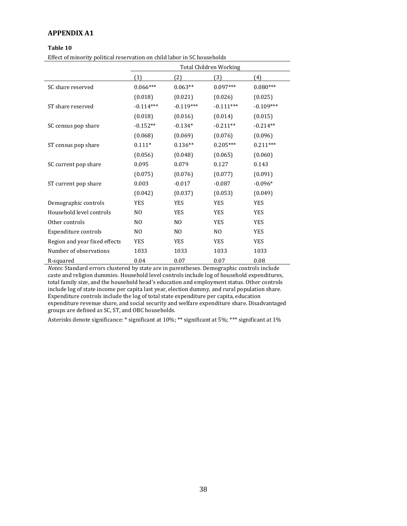#### **APPENDIX A1**

#### **Table 10**

Effect of minority political reservation on child labor in SC households

|                               | <b>Total Children Working</b> |                |                |             |
|-------------------------------|-------------------------------|----------------|----------------|-------------|
|                               | (1)                           | (2)            | (3)            | (4)         |
| SC share reserved             | $0.066***$                    | $0.063**$      | $0.097***$     | $0.080***$  |
|                               | (0.018)                       | (0.021)        | (0.026)        | (0.025)     |
| ST share reserved             | $-0.114***$                   | $-0.119***$    | $-0.111***$    | $-0.109***$ |
|                               | (0.018)                       | (0.016)        | (0.014)        | (0.015)     |
| SC census pop share           | $-0.152**$                    | $-0.134*$      | $-0.211**$     | $-0.214**$  |
|                               | (0.068)                       | (0.069)        | (0.076)        | (0.096)     |
| ST census pop share           | $0.111*$                      | $0.136**$      | $0.205***$     | $0.211***$  |
|                               | (0.056)                       | (0.048)        | (0.065)        | (0.060)     |
| SC current pop share          | 0.095                         | 0.079          | 0.127          | 0.143       |
|                               | (0.075)                       | (0.076)        | (0.077)        | (0.091)     |
| ST current pop share          | 0.003                         | $-0.017$       | $-0.087$       | $-0.096*$   |
|                               | (0.042)                       | (0.037)        | (0.053)        | (0.049)     |
| Demographic controls          | <b>YES</b>                    | <b>YES</b>     | <b>YES</b>     | <b>YES</b>  |
| Household level controls      | N <sub>O</sub>                | <b>YES</b>     | <b>YES</b>     | <b>YES</b>  |
| Other controls                | N <sub>O</sub>                | N <sub>0</sub> | <b>YES</b>     | <b>YES</b>  |
| Expenditure controls          | N <sub>O</sub>                | N <sub>0</sub> | N <sub>O</sub> | <b>YES</b>  |
| Region and year fixed effects | <b>YES</b>                    | <b>YES</b>     | <b>YES</b>     | <b>YES</b>  |
| Number of observations        | 1033                          | 1033           | 1033           | 1033        |
| R-squared                     | 0.04                          | 0.07           | 0.07           | 0.08        |

*Notes:* Standard errors clustered by state are in parentheses. Demographic controls include caste and religion dummies. Household level controls include log of household expenditures, total family size, and the household head's education and employment status. Other controls include log of state income per capita last year, election dummy, and rural population share. Expenditure controls include the log of total state expenditure per capita, education expenditure revenue share, and social security and welfare expenditure share. Disadvantaged groups are defined as SC, ST, and OBC households.